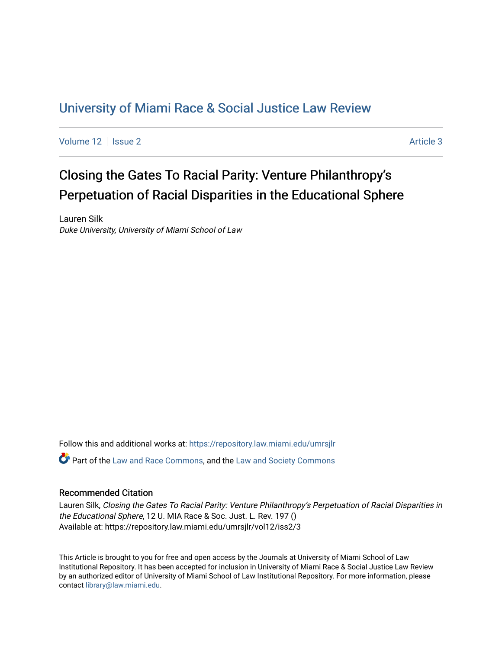## [University of Miami Race & Social Justice Law Review](https://repository.law.miami.edu/umrsjlr)

[Volume 12](https://repository.law.miami.edu/umrsjlr/vol12) | [Issue 2](https://repository.law.miami.edu/umrsjlr/vol12/iss2) Article 3

# Closing the Gates To Racial Parity: Venture Philanthropy's Perpetuation of Racial Disparities in the Educational Sphere

Lauren Silk Duke University, University of Miami School of Law

Follow this and additional works at: [https://repository.law.miami.edu/umrsjlr](https://repository.law.miami.edu/umrsjlr?utm_source=repository.law.miami.edu%2Fumrsjlr%2Fvol12%2Fiss2%2F3&utm_medium=PDF&utm_campaign=PDFCoverPages)

Part of the [Law and Race Commons,](http://network.bepress.com/hgg/discipline/1300?utm_source=repository.law.miami.edu%2Fumrsjlr%2Fvol12%2Fiss2%2F3&utm_medium=PDF&utm_campaign=PDFCoverPages) and the [Law and Society Commons](http://network.bepress.com/hgg/discipline/853?utm_source=repository.law.miami.edu%2Fumrsjlr%2Fvol12%2Fiss2%2F3&utm_medium=PDF&utm_campaign=PDFCoverPages) 

### Recommended Citation

Lauren Silk, Closing the Gates To Racial Parity: Venture Philanthropy's Perpetuation of Racial Disparities in the Educational Sphere, 12 U. MIA Race & Soc. Just. L. Rev. 197 () Available at: https://repository.law.miami.edu/umrsjlr/vol12/iss2/3

This Article is brought to you for free and open access by the Journals at University of Miami School of Law Institutional Repository. It has been accepted for inclusion in University of Miami Race & Social Justice Law Review by an authorized editor of University of Miami School of Law Institutional Repository. For more information, please contact [library@law.miami.edu](mailto:library@law.miami.edu).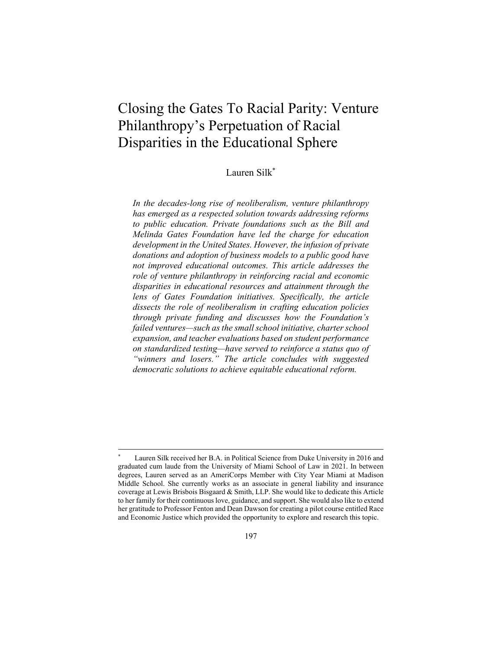## Closing the Gates To Racial Parity: Venture Philanthropy's Perpetuation of Racial Disparities in the Educational Sphere

## Lauren Silk\*

*In the decades-long rise of neoliberalism, venture philanthropy has emerged as a respected solution towards addressing reforms to public education. Private foundations such as the Bill and Melinda Gates Foundation have led the charge for education development in the United States. However, the infusion of private donations and adoption of business models to a public good have not improved educational outcomes. This article addresses the role of venture philanthropy in reinforcing racial and economic disparities in educational resources and attainment through the lens of Gates Foundation initiatives. Specifically, the article dissects the role of neoliberalism in crafting education policies through private funding and discusses how the Foundation's failed ventures—such as the small school initiative, charter school expansion, and teacher evaluations based on student performance on standardized testing—have served to reinforce a status quo of "winners and losers." The article concludes with suggested democratic solutions to achieve equitable educational reform.* 

Lauren Silk received her B.A. in Political Science from Duke University in 2016 and graduated cum laude from the University of Miami School of Law in 2021. In between degrees, Lauren served as an AmeriCorps Member with City Year Miami at Madison Middle School. She currently works as an associate in general liability and insurance coverage at Lewis Brisbois Bisgaard & Smith, LLP. She would like to dedicate this Article to her family for their continuous love, guidance, and support. She would also like to extend her gratitude to Professor Fenton and Dean Dawson for creating a pilot course entitled Race and Economic Justice which provided the opportunity to explore and research this topic.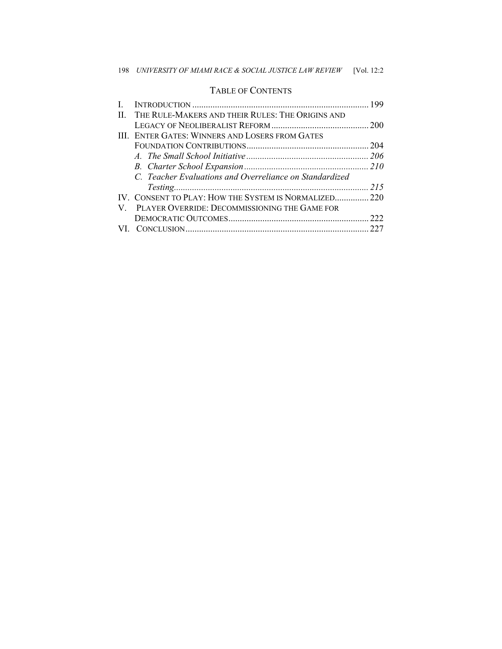## TABLE OF CONTENTS

| $\Pi$ . | THE RULE-MAKERS AND THEIR RULES: THE ORIGINS AND        |  |
|---------|---------------------------------------------------------|--|
|         |                                                         |  |
|         | III. ENTER GATES: WINNERS AND LOSERS FROM GATES         |  |
|         |                                                         |  |
|         |                                                         |  |
|         |                                                         |  |
|         | C. Teacher Evaluations and Overreliance on Standardized |  |
|         |                                                         |  |
|         | IV. CONSENT TO PLAY: HOW THE SYSTEM IS NORMALIZED 220   |  |
|         | V. PLAYER OVERRIDE: DECOMMISSIONING THE GAME FOR        |  |
|         |                                                         |  |
|         |                                                         |  |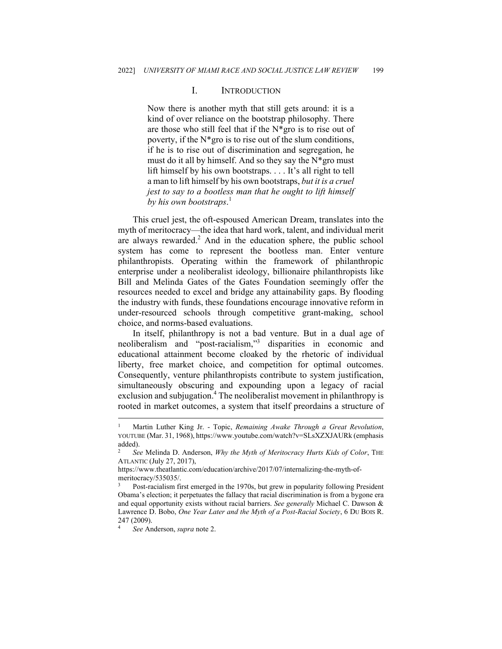#### I. INTRODUCTION

Now there is another myth that still gets around: it is a kind of over reliance on the bootstrap philosophy. There are those who still feel that if the N\*gro is to rise out of poverty, if the N\*gro is to rise out of the slum conditions, if he is to rise out of discrimination and segregation, he must do it all by himself. And so they say the  $N*$ gro must lift himself by his own bootstraps. . . . It's all right to tell a man to lift himself by his own bootstraps, *but it is a cruel jest to say to a bootless man that he ought to lift himself by his own bootstraps*. 1

This cruel jest, the oft-espoused American Dream, translates into the myth of meritocracy—the idea that hard work, talent, and individual merit are always rewarded.<sup>2</sup> And in the education sphere, the public school system has come to represent the bootless man. Enter venture philanthropists. Operating within the framework of philanthropic enterprise under a neoliberalist ideology, billionaire philanthropists like Bill and Melinda Gates of the Gates Foundation seemingly offer the resources needed to excel and bridge any attainability gaps. By flooding the industry with funds, these foundations encourage innovative reform in under-resourced schools through competitive grant-making, school choice, and norms-based evaluations.

In itself, philanthropy is not a bad venture. But in a dual age of neoliberalism and "post-racialism,"3 disparities in economic and educational attainment become cloaked by the rhetoric of individual liberty, free market choice, and competition for optimal outcomes. Consequently, venture philanthropists contribute to system justification, simultaneously obscuring and expounding upon a legacy of racial exclusion and subjugation.<sup>4</sup> The neoliberalist movement in philanthropy is rooted in market outcomes, a system that itself preordains a structure of

<sup>1</sup> Martin Luther King Jr. - Topic, *Remaining Awake Through a Great Revolution*, YOUTUBE (Mar. 31, 1968), https://www.youtube.com/watch?v=SLsXZXJAURk (emphasis added).

<sup>2</sup> *See* Melinda D. Anderson, *Why the Myth of Meritocracy Hurts Kids of Color*, THE ATLANTIC (July 27, 2017),

https://www.theatlantic.com/education/archive/2017/07/internalizing-the-myth-ofmeritocracy/535035/.

<sup>3</sup> Post-racialism first emerged in the 1970s, but grew in popularity following President Obama's election; it perpetuates the fallacy that racial discrimination is from a bygone era and equal opportunity exists without racial barriers. *See generally* Michael C. Dawson & Lawrence D. Bobo, *One Year Later and the Myth of a Post-Racial Society*, 6 DU BOIS R. 247 (2009).

<sup>4</sup> *See* Anderson, *supra* note 2.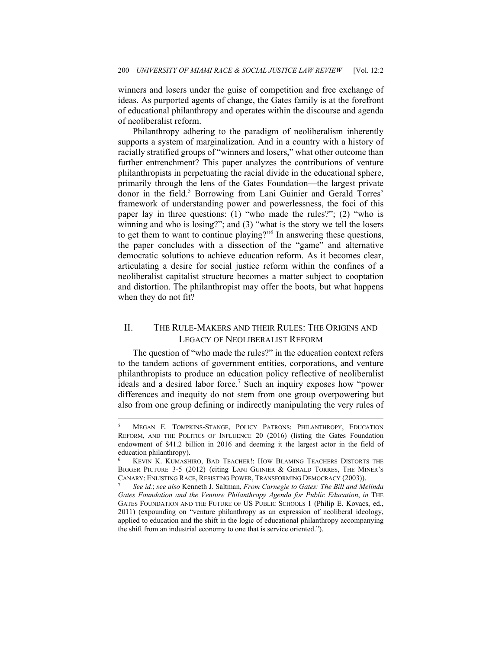winners and losers under the guise of competition and free exchange of ideas. As purported agents of change, the Gates family is at the forefront of educational philanthropy and operates within the discourse and agenda of neoliberalist reform.

Philanthropy adhering to the paradigm of neoliberalism inherently supports a system of marginalization. And in a country with a history of racially stratified groups of "winners and losers," what other outcome than further entrenchment? This paper analyzes the contributions of venture philanthropists in perpetuating the racial divide in the educational sphere, primarily through the lens of the Gates Foundation—the largest private donor in the field.<sup>5</sup> Borrowing from Lani Guinier and Gerald Torres' framework of understanding power and powerlessness, the foci of this paper lay in three questions: (1) "who made the rules?"; (2) "who is winning and who is losing?"; and (3) "what is the story we tell the losers to get them to want to continue playing?"<sup>6</sup> In answering these questions, the paper concludes with a dissection of the "game" and alternative democratic solutions to achieve education reform. As it becomes clear, articulating a desire for social justice reform within the confines of a neoliberalist capitalist structure becomes a matter subject to cooptation and distortion. The philanthropist may offer the boots, but what happens when they do not fit?

## II. THE RULE-MAKERS AND THEIR RULES: THE ORIGINS AND LEGACY OF NEOLIBERALIST REFORM

The question of "who made the rules?" in the education context refers to the tandem actions of government entities, corporations, and venture philanthropists to produce an education policy reflective of neoliberalist ideals and a desired labor force.<sup>7</sup> Such an inquiry exposes how "power differences and inequity do not stem from one group overpowering but also from one group defining or indirectly manipulating the very rules of

<sup>5</sup> MEGAN E. TOMPKINS-STANGE, POLICY PATRONS: PHILANTHROPY, EDUCATION REFORM, AND THE POLITICS OF INFLUENCE 20 (2016) (listing the Gates Foundation endowment of \$41.2 billion in 2016 and deeming it the largest actor in the field of education philanthropy).

KEVIN K. KUMASHIRO, BAD TEACHER!: HOW BLAMING TEACHERS DISTORTS THE BIGGER PICTURE 3-5 (2012) (citing LANI GUINIER & GERALD TORRES, THE MINER'S CANARY: ENLISTING RACE, RESISTING POWER, TRANSFORMING DEMOCRACY (2003)). 7 *See id.*; *see also* Kenneth J. Saltman, *From Carnegie to Gates: The Bill and Melinda* 

*Gates Foundation and the Venture Philanthropy Agenda for Public Education*, *in* THE GATES FOUNDATION AND THE FUTURE OF US PUBLIC SCHOOLS 1 (Philip E. Kovacs, ed., 2011) (expounding on "venture philanthropy as an expression of neoliberal ideology, applied to education and the shift in the logic of educational philanthropy accompanying the shift from an industrial economy to one that is service oriented.").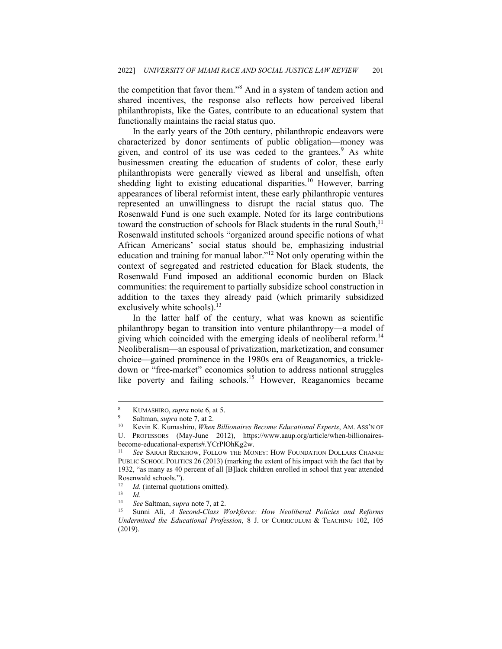the competition that favor them."<sup>8</sup> And in a system of tandem action and shared incentives, the response also reflects how perceived liberal philanthropists, like the Gates, contribute to an educational system that functionally maintains the racial status quo.

In the early years of the 20th century, philanthropic endeavors were characterized by donor sentiments of public obligation—money was given, and control of its use was ceded to the grantees.<sup>9</sup> As white businessmen creating the education of students of color, these early philanthropists were generally viewed as liberal and unselfish, often shedding light to existing educational disparities.<sup>10</sup> However, barring appearances of liberal reformist intent, these early philanthropic ventures represented an unwillingness to disrupt the racial status quo. The Rosenwald Fund is one such example. Noted for its large contributions toward the construction of schools for Black students in the rural South, $<sup>11</sup>$ </sup> Rosenwald instituted schools "organized around specific notions of what African Americans' social status should be, emphasizing industrial education and training for manual labor."12 Not only operating within the context of segregated and restricted education for Black students, the Rosenwald Fund imposed an additional economic burden on Black communities: the requirement to partially subsidize school construction in addition to the taxes they already paid (which primarily subsidized exclusively white schools).<sup>13</sup>

In the latter half of the century, what was known as scientific philanthropy began to transition into venture philanthropy—a model of giving which coincided with the emerging ideals of neoliberal reform.<sup>14</sup> Neoliberalism—an espousal of privatization, marketization, and consumer choice—gained prominence in the 1980s era of Reaganomics, a trickledown or "free-market" economics solution to address national struggles like poverty and failing schools.<sup>15</sup> However, Reaganomics became

<sup>8</sup> KUMASHIRO, *supra* note 6, at 5.<br><sup>9</sup> Saltman, *supra* note 7, at 2.<br><sup>10</sup> Kevin K. Kumashiro, *When Billionaires Become Educational Experts*, AM. Ass'N OF

U. PROFESSORS (May-June 2012), https://www.aaup.org/article/when-billionairesbecome-educational-experts#.YCrPlOhKg2w.

<sup>11</sup> *See* SARAH RECKHOW, FOLLOW THE MONEY: HOW FOUNDATION DOLLARS CHANGE PUBLIC SCHOOL POLITICS 26 (2013) (marking the extent of his impact with the fact that by 1932, "as many as 40 percent of all [B]lack children enrolled in school that year attended Rosenwald schools.").

<sup>12&</sup>lt;br>13 *Id.*<br>14 See Saltman, sung note 7 at 2

<sup>14</sup> *See* Saltman, *supra* note 7, at 2. 15 Sunni Ali, *A Second-Class Workforce: How Neoliberal Policies and Reforms Undermined the Educational Profession*, 8 J. OF CURRICULUM & TEACHING 102, 105 (2019).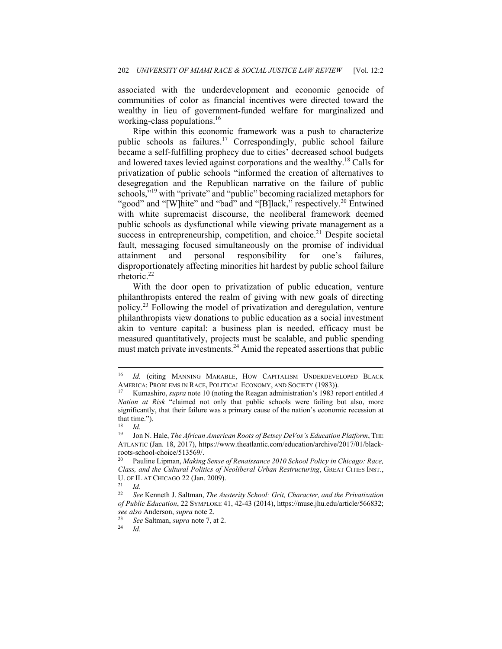associated with the underdevelopment and economic genocide of communities of color as financial incentives were directed toward the wealthy in lieu of government-funded welfare for marginalized and working-class populations.<sup>16</sup>

Ripe within this economic framework was a push to characterize public schools as failures.17 Correspondingly, public school failure became a self-fulfilling prophecy due to cities' decreased school budgets and lowered taxes levied against corporations and the wealthy.18 Calls for privatization of public schools "informed the creation of alternatives to desegregation and the Republican narrative on the failure of public schools,"<sup>19</sup> with "private" and "public" becoming racialized metaphors for "good" and "[W]hite" and "bad" and "[B]lack," respectively.<sup>20</sup> Entwined with white supremacist discourse, the neoliberal framework deemed public schools as dysfunctional while viewing private management as a success in entrepreneurship, competition, and choice.<sup>21</sup> Despite societal fault, messaging focused simultaneously on the promise of individual attainment and personal responsibility for one's failures, disproportionately affecting minorities hit hardest by public school failure rhetoric.<sup>22</sup>

With the door open to privatization of public education, venture philanthropists entered the realm of giving with new goals of directing policy.23 Following the model of privatization and deregulation, venture philanthropists view donations to public education as a social investment akin to venture capital: a business plan is needed, efficacy must be measured quantitatively, projects must be scalable, and public spending must match private investments.<sup>24</sup> Amid the repeated assertions that public

<sup>&</sup>lt;sup>16</sup> Id. (citing MANNING MARABLE, HOW CAPITALISM UNDERDEVELOPED BLACK AMERICA: PROBLEMS IN RACE, POLITICAL ECONOMY, AND SOCIETY (1983)).<br><sup>17</sup> Kumashiro, *supra* note 10 (noting the Reagan administration's 1983 report entitled *A* 

*Nation at Risk* "claimed not only that public schools were failing but also, more significantly, that their failure was a primary cause of the nation's economic recession at that time.").

 $\frac{18}{19}$  *Id.* 

Jon N. Hale, *The African American Roots of Betsey DeVos's Education Platform*, THE ATLANTIC (Jan. 18, 2017), https://www.theatlantic.com/education/archive/2017/01/blackroots-school-choice/513569/.

<sup>20</sup> Pauline Lipman, *Making Sense of Renaissance 2010 School Policy in Chicago: Race, Class, and the Cultural Politics of Neoliberal Urban Restructuring*, GREAT CITIES INST., U. OF IL AT CHICAGO 22 (Jan. 2009).<br><sup>21</sup> *Id.*<br><sup>22</sup> See Kenneth J. Saltman, *The Au* 

<sup>22</sup> *See* Kenneth J. Saltman, *The Austerity School: Grit, Character, and the Privatization of Public Education*, 22 SYMPLOKE 41, 42-43 (2014), https://muse.jhu.edu/article/566832; *see also* Anderson, *supra* note 2. 23 *See* Saltman, *supra* note 7, at 2. 24 *Id.*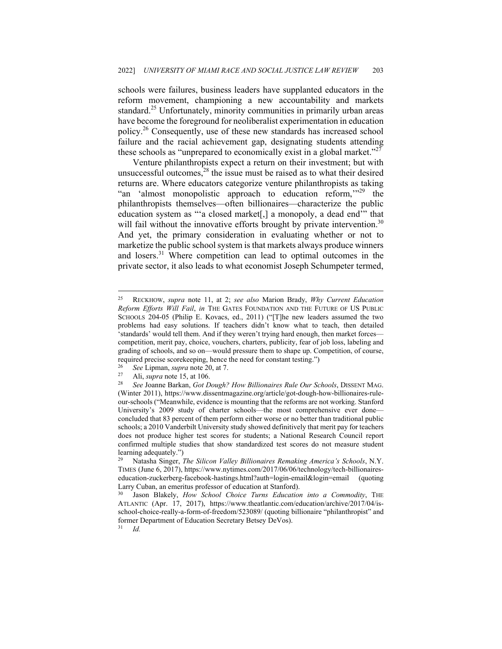schools were failures, business leaders have supplanted educators in the reform movement, championing a new accountability and markets standard.<sup>25</sup> Unfortunately, minority communities in primarily urban areas have become the foreground for neoliberalist experimentation in education policy.26 Consequently, use of these new standards has increased school failure and the racial achievement gap, designating students attending these schools as "unprepared to economically exist in a global market."<sup>27</sup>

Venture philanthropists expect a return on their investment; but with unsuccessful outcomes, $28$  the issue must be raised as to what their desired returns are. Where educators categorize venture philanthropists as taking "an 'almost monopolistic approach to education reform,"<sup>29</sup> the philanthropists themselves—often billionaires—characterize the public education system as "'a closed market[,] a monopoly, a dead end" that will fail without the innovative efforts brought by private intervention.<sup>30</sup> And yet, the primary consideration in evaluating whether or not to marketize the public school system is that markets always produce winners and losers.<sup>31</sup> Where competition can lead to optimal outcomes in the private sector, it also leads to what economist Joseph Schumpeter termed,

<sup>25</sup> RECKHOW, *supra* note 11, at 2; *see also* Marion Brady, *Why Current Education Reform Efforts Will Fail*, *in* THE GATES FOUNDATION AND THE FUTURE OF US PUBLIC SCHOOLS 204-05 (Philip E. Kovacs, ed., 2011) ("[T]he new leaders assumed the two problems had easy solutions. If teachers didn't know what to teach, then detailed 'standards' would tell them. And if they weren't trying hard enough, then market forces competition, merit pay, choice, vouchers, charters, publicity, fear of job loss, labeling and grading of schools, and so on—would pressure them to shape up. Competition, of course, required precise scorekeeping, hence the need for constant testing.")<br>
<sup>26</sup> See Lipman, *supra* note 20, at 7.<br>
<sup>27</sup> Ali, *supra* note 15, at 106.<br>
<sup>28</sup> See Joanne Barkan, *Got Dough? How Billionaires Rule Our Schools*, DI

<sup>(</sup>Winter 2011), https://www.dissentmagazine.org/article/got-dough-how-billionaires-ruleour-schools ("Meanwhile, evidence is mounting that the reforms are not working. Stanford University's 2009 study of charter schools—the most comprehensive ever done concluded that 83 percent of them perform either worse or no better than traditional public schools; a 2010 Vanderbilt University study showed definitively that merit pay for teachers does not produce higher test scores for students; a National Research Council report confirmed multiple studies that show standardized test scores do not measure student learning adequately.")

<sup>29</sup> Natasha Singer, *The Silicon Valley Billionaires Remaking America's Schools*, N.Y. TIMES (June 6, 2017), https://www.nytimes.com/2017/06/06/technology/tech-billionaireseducation-zuckerberg-facebook-hastings.html?auth=login-email&login=email (quoting Larry Cuban, an emeritus professor of education at Stanford).

Jason Blakely, *How School Choice Turns Education into a Commodity*, THE ATLANTIC (Apr. 17, 2017), https://www.theatlantic.com/education/archive/2017/04/isschool-choice-really-a-form-of-freedom/523089/ (quoting billionaire "philanthropist" and former Department of Education Secretary Betsey DeVos).<br> $\frac{31}{10}$ 

<sup>31</sup> *Id.*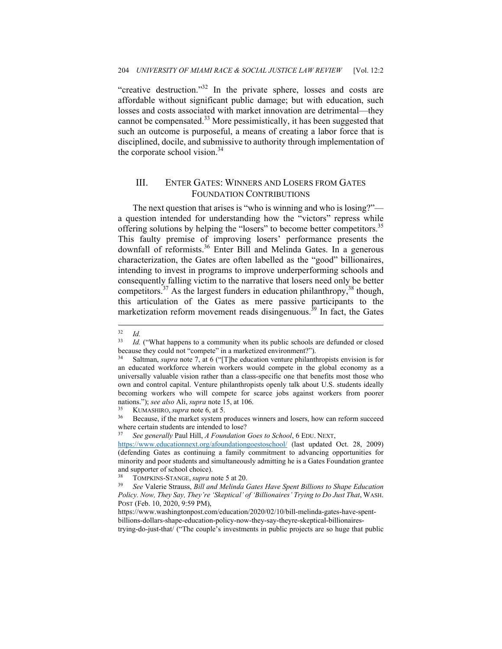"creative destruction."<sup>32</sup> In the private sphere, losses and costs are affordable without significant public damage; but with education, such losses and costs associated with market innovation are detrimental—they cannot be compensated.<sup>33</sup> More pessimistically, it has been suggested that such an outcome is purposeful, a means of creating a labor force that is disciplined, docile, and submissive to authority through implementation of the corporate school vision.<sup>34</sup>

## III. ENTER GATES: WINNERS AND LOSERS FROM GATES FOUNDATION CONTRIBUTIONS

The next question that arises is "who is winning and who is losing?" a question intended for understanding how the "victors" repress while offering solutions by helping the "losers" to become better competitors.<sup>35</sup> This faulty premise of improving losers' performance presents the downfall of reformists.<sup>36</sup> Enter Bill and Melinda Gates. In a generous characterization, the Gates are often labelled as the "good" billionaires, intending to invest in programs to improve underperforming schools and consequently falling victim to the narrative that losers need only be better competitors.<sup>37</sup> As the largest funders in education philanthropy,  $38$  though, this articulation of the Gates as mere passive participants to the marketization reform movement reads disingenuous.<sup>39</sup> In fact, the Gates

 $\frac{32}{33}$  *Id.* 

Id. ("What happens to a community when its public schools are defunded or closed because they could not "compete" in a marketized environment?").

<sup>34</sup> Saltman, *supra* note 7, at 6 ("[T]he education venture philanthropists envision is for an educated workforce wherein workers would compete in the global economy as a universally valuable vision rather than a class-specific one that benefits most those who own and control capital. Venture philanthropists openly talk about U.S. students ideally becoming workers who will compete for scarce jobs against workers from poorer nations."); *see also* Ali, *supra* note 15, at 106.

<sup>&</sup>lt;sup>35</sup> KUMASHIRO, *supra* note 6, at 5.<br><sup>36</sup> Because, if the market system produces winners and losers, how can reform succeed where certain students are intended to lose?

<sup>37</sup> *See generally* Paul Hill, *A Foundation Goes to School*, 6 EDU. NEXT,

https://www.educationnext.org/afoundationgoestoschool/ (last updated Oct. 28, 2009) (defending Gates as continuing a family commitment to advancing opportunities for minority and poor students and simultaneously admitting he is a Gates Foundation grantee and supporter of school choice).

<sup>38</sup> TOMPKINS-STANGE, *supra* note 5 at 20. 39 *See* Valerie Strauss, *Bill and Melinda Gates Have Spent Billions to Shape Education Policy. Now, They Say, They're 'Skeptical' of 'Billionaires' Trying to Do Just That*, WASH. POST (Feb. 10, 2020, 9:59 PM),

https://www.washingtonpost.com/education/2020/02/10/bill-melinda-gates-have-spentbillions-dollars-shape-education-policy-now-they-say-theyre-skeptical-billionairestrying-do-just-that/ ("The couple's investments in public projects are so huge that public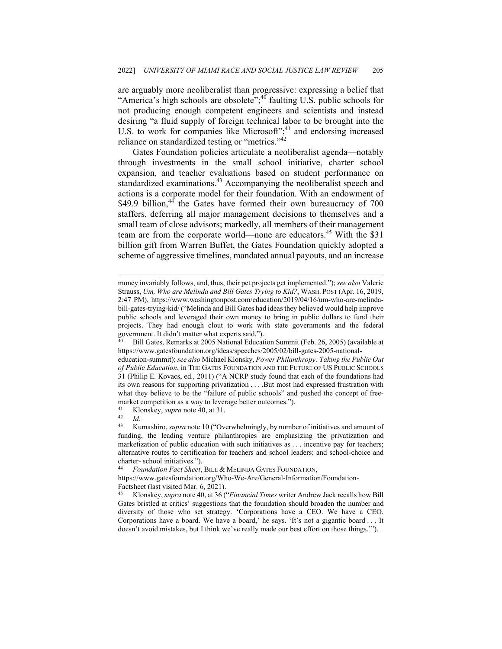are arguably more neoliberalist than progressive: expressing a belief that "America's high schools are obsolete";<sup>40</sup> faulting U.S. public schools for not producing enough competent engineers and scientists and instead desiring "a fluid supply of foreign technical labor to be brought into the U.S. to work for companies like Microsoft";<sup>41</sup> and endorsing increased reliance on standardized testing or "metrics."<sup>42</sup>

Gates Foundation policies articulate a neoliberalist agenda—notably through investments in the small school initiative, charter school expansion, and teacher evaluations based on student performance on standardized examinations.<sup>43</sup> Accompanying the neoliberalist speech and actions is a corporate model for their foundation. With an endowment of \$49.9 billion, $44$  the Gates have formed their own bureaucracy of 700 staffers, deferring all major management decisions to themselves and a small team of close advisors; markedly, all members of their management team are from the corporate world—none are educators.<sup>45</sup> With the \$31 billion gift from Warren Buffet, the Gates Foundation quickly adopted a scheme of aggressive timelines, mandated annual payouts, and an increase

41 Klonskey, *supra* note 40, at 31. 42 *Id.* 

money invariably follows, and, thus, their pet projects get implemented."); *see also* Valerie Strauss, *Um, Who are Melinda and Bill Gates Trying to Kid?*, WASH. POST (Apr. 16, 2019, 2:47 PM), https://www.washingtonpost.com/education/2019/04/16/um-who-are-melindabill-gates-trying-kid/ ("Melinda and Bill Gates had ideas they believed would help improve public schools and leveraged their own money to bring in public dollars to fund their projects. They had enough clout to work with state governments and the federal government. It didn't matter what experts said.").

<sup>40</sup> Bill Gates, Remarks at 2005 National Education Summit (Feb. 26, 2005) (available at https://www.gatesfoundation.org/ideas/speeches/2005/02/bill-gates-2005-national-

education-summit); *see also* Michael Klonsky, *Power Philanthropy: Taking the Public Out of Public Education*, in THE GATES FOUNDATION AND THE FUTURE OF US PUBLIC SCHOOLS 31 (Philip E. Kovacs, ed., 2011) ("A NCRP study found that each of the foundations had its own reasons for supporting privatization . . . .But most had expressed frustration with what they believe to be the "failure of public schools" and pushed the concept of freemarket competition as a way to leverage better outcomes.").

Kumashiro, *supra* note 10 ("Overwhelmingly, by number of initiatives and amount of funding, the leading venture philanthropies are emphasizing the privatization and marketization of public education with such initiatives as . . . incentive pay for teachers; alternative routes to certification for teachers and school leaders; and school-choice and charter- school initiatives.").

<sup>44</sup> *Foundation Fact Sheet*, BILL & MELINDA GATES FOUNDATION,

https://www.gatesfoundation.org/Who-We-Are/General-Information/Foundation-Factsheet (last visited Mar. 6, 2021).

<sup>45</sup> Klonskey, *supra* note 40, at 36 ("*Financial Times* writer Andrew Jack recalls how Bill Gates bristled at critics' suggestions that the foundation should broaden the number and diversity of those who set strategy. 'Corporations have a CEO. We have a CEO. Corporations have a board. We have a board,' he says. 'It's not a gigantic board . . . It doesn't avoid mistakes, but I think we've really made our best effort on those things.'").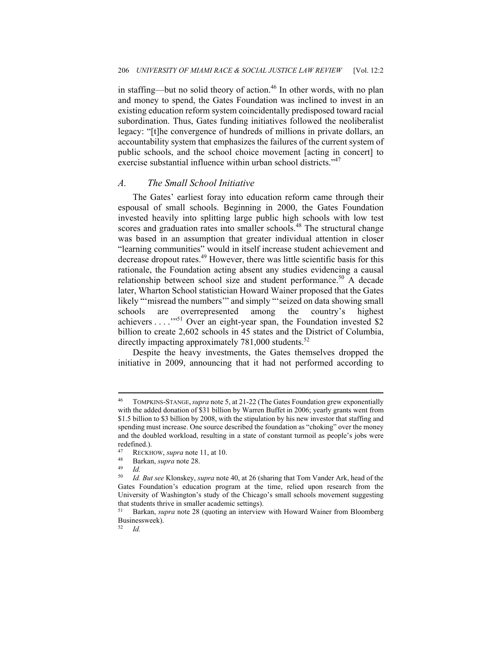in staffing—but no solid theory of action.<sup>46</sup> In other words, with no plan and money to spend, the Gates Foundation was inclined to invest in an existing education reform system coincidentally predisposed toward racial subordination. Thus, Gates funding initiatives followed the neoliberalist legacy: "[t]he convergence of hundreds of millions in private dollars, an accountability system that emphasizes the failures of the current system of public schools, and the school choice movement [acting in concert] to exercise substantial influence within urban school districts."<sup>47</sup>

#### *A. The Small School Initiative*

The Gates' earliest foray into education reform came through their espousal of small schools. Beginning in 2000, the Gates Foundation invested heavily into splitting large public high schools with low test scores and graduation rates into smaller schools.<sup>48</sup> The structural change was based in an assumption that greater individual attention in closer "learning communities" would in itself increase student achievement and decrease dropout rates.<sup>49</sup> However, there was little scientific basis for this rationale, the Foundation acting absent any studies evidencing a causal relationship between school size and student performance.<sup>50</sup> A decade later, Wharton School statistician Howard Wainer proposed that the Gates likely "'misread the numbers'" and simply "'seized on data showing small schools are overrepresented among the country's highest achievers . . . .'"51 Over an eight-year span, the Foundation invested \$2 billion to create 2,602 schools in 45 states and the District of Columbia, directly impacting approximately  $781,000$  students.<sup>52</sup>

Despite the heavy investments, the Gates themselves dropped the initiative in 2009, announcing that it had not performed according to

52 *Id.* 

<sup>46</sup> TOMPKINS-STANGE,*supra* note 5, at 21-22 (The Gates Foundation grew exponentially with the added donation of \$31 billion by Warren Buffet in 2006; yearly grants went from \$1.5 billion to \$3 billion by 2008, with the stipulation by his new investor that staffing and spending must increase. One source described the foundation as "choking" over the money and the doubled workload, resulting in a state of constant turmoil as people's jobs were redefined.).

<sup>47</sup> RECKHOW, *supra* note 11, at 10.<br>
<sup>48</sup> Barkan, *supra* note 28.<br>
<sup>50</sup> *Id. Put see Klanskow, supra* pot

<sup>50</sup> *Id. But see* Klonskey, *supra* note 40, at 26 (sharing that Tom Vander Ark, head of the Gates Foundation's education program at the time, relied upon research from the University of Washington's study of the Chicago's small schools movement suggesting that students thrive in smaller academic settings).

<sup>51</sup> Barkan, *supra* note 28 (quoting an interview with Howard Wainer from Bloomberg Businessweek).<br> $52 \frac{Id}{}$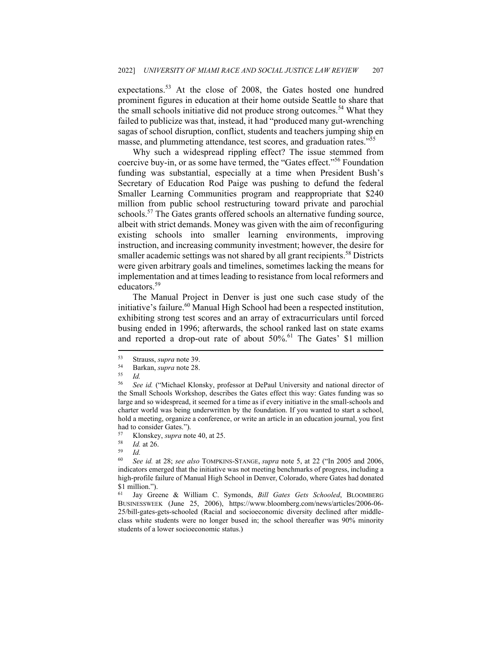expectations.<sup>53</sup> At the close of 2008, the Gates hosted one hundred prominent figures in education at their home outside Seattle to share that the small schools initiative did not produce strong outcomes.<sup>54</sup> What they failed to publicize was that, instead, it had "produced many gut-wrenching sagas of school disruption, conflict, students and teachers jumping ship en masse, and plummeting attendance, test scores, and graduation rates."<sup>55</sup>

Why such a widespread rippling effect? The issue stemmed from coercive buy-in, or as some have termed, the "Gates effect."56 Foundation funding was substantial, especially at a time when President Bush's Secretary of Education Rod Paige was pushing to defund the federal Smaller Learning Communities program and reappropriate that \$240 million from public school restructuring toward private and parochial schools.<sup>57</sup> The Gates grants offered schools an alternative funding source, albeit with strict demands. Money was given with the aim of reconfiguring existing schools into smaller learning environments, improving instruction, and increasing community investment; however, the desire for smaller academic settings was not shared by all grant recipients.<sup>58</sup> Districts were given arbitrary goals and timelines, sometimes lacking the means for implementation and at times leading to resistance from local reformers and educators.<sup>59</sup>

The Manual Project in Denver is just one such case study of the initiative's failure.<sup>60</sup> Manual High School had been a respected institution, exhibiting strong test scores and an array of extracurriculars until forced busing ended in 1996; afterwards, the school ranked last on state exams and reported a drop-out rate of about  $50\%$ .<sup>61</sup> The Gates' \$1 million

<sup>53</sup> Strauss, *supra* note 39.<br>
55 Id.<br>
56 See id. ("Michael Klot"

<sup>56</sup> *See id.* ("Michael Klonsky, professor at DePaul University and national director of the Small Schools Workshop, describes the Gates effect this way: Gates funding was so large and so widespread, it seemed for a time as if every initiative in the small-schools and charter world was being underwritten by the foundation. If you wanted to start a school, hold a meeting, organize a conference, or write an article in an education journal, you first had to consider Gates.").

<sup>57</sup> Klonskey, *supra* note 40, at 25. 58 *Id.* at 26. 59 *Id.*

<sup>60</sup> *See id.* at 28; *see also* TOMPKINS-STANGE, *supra* note 5, at 22 ("In 2005 and 2006, indicators emerged that the initiative was not meeting benchmarks of progress, including a high-profile failure of Manual High School in Denver, Colorado, where Gates had donated \$1 million.").

Jay Greene & William C. Symonds, *Bill Gates Gets Schooled*, BLOOMBERG BUSINESSWEEK (June 25, 2006), https://www.bloomberg.com/news/articles/2006-06- 25/bill-gates-gets-schooled (Racial and socioeconomic diversity declined after middleclass white students were no longer bused in; the school thereafter was 90% minority students of a lower socioeconomic status.)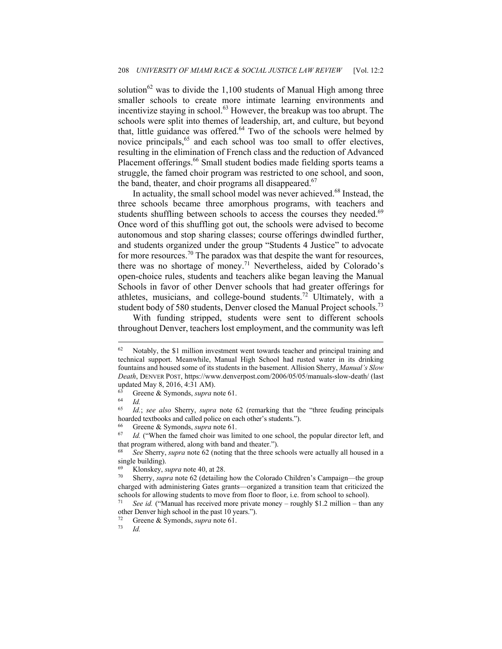solution<sup>62</sup> was to divide the 1,100 students of Manual High among three smaller schools to create more intimate learning environments and incentivize staying in school.<sup>63</sup> However, the breakup was too abrupt. The schools were split into themes of leadership, art, and culture, but beyond that, little guidance was offered.<sup>64</sup> Two of the schools were helmed by novice principals,<sup>65</sup> and each school was too small to offer electives, resulting in the elimination of French class and the reduction of Advanced Placement offerings.<sup>66</sup> Small student bodies made fielding sports teams a struggle, the famed choir program was restricted to one school, and soon, the band, theater, and choir programs all disappeared.<sup>67</sup>

In actuality, the small school model was never achieved.<sup>68</sup> Instead, the three schools became three amorphous programs, with teachers and students shuffling between schools to access the courses they needed.<sup>69</sup> Once word of this shuffling got out, the schools were advised to become autonomous and stop sharing classes; course offerings dwindled further, and students organized under the group "Students 4 Justice" to advocate for more resources.70 The paradox was that despite the want for resources, there was no shortage of money.<sup>71</sup> Nevertheless, aided by Colorado's open-choice rules, students and teachers alike began leaving the Manual Schools in favor of other Denver schools that had greater offerings for athletes, musicians, and college-bound students.<sup>72</sup> Ultimately, with a student body of 580 students, Denver closed the Manual Project schools.<sup>73</sup>

With funding stripped, students were sent to different schools throughout Denver, teachers lost employment, and the community was left

66 Greene & Symonds, *supra* note 61.

<sup>&</sup>lt;sup>62</sup> Notably, the \$1 million investment went towards teacher and principal training and technical support. Meanwhile, Manual High School had rusted water in its drinking fountains and housed some of its students in the basement. Allision Sherry, *Manual's Slow Death*, DENVER POST, https://www.denverpost.com/2006/05/05/manuals-slow-death/ (last updated May 8, 2016, 4:31 AM).

<sup>63</sup> Greene & Symonds, *supra* note 61.

 $\begin{array}{cc} 64 & Id. \\ 65 & Id. \end{array}$ 

<sup>65</sup> *Id.*; *see also* Sherry, *supra* note 62 (remarking that the "three feuding principals hoarded textbooks and called police on each other's students.").

<sup>&</sup>lt;sup>67</sup> Id. ("When the famed choir was limited to one school, the popular director left, and that program withered, along with band and theater.").

<sup>68</sup> *See* Sherry, *supra* note 62 (noting that the three schools were actually all housed in a single building).

<sup>69</sup> Klonskey, *supra* note 40, at 28. 70 Sherry, *supra* note 62 (detailing how the Colorado Children's Campaign—the group charged with administering Gates grants—organized a transition team that criticized the schools for allowing students to move from floor to floor, i.e. from school to school).<br><sup>71</sup> See id. ("Manual has received more private money – roughly \$1.2 million – than any

other Denver high school in the past 10 years.").

<sup>72</sup> Greene & Symonds, *supra* note 61.

*Id.*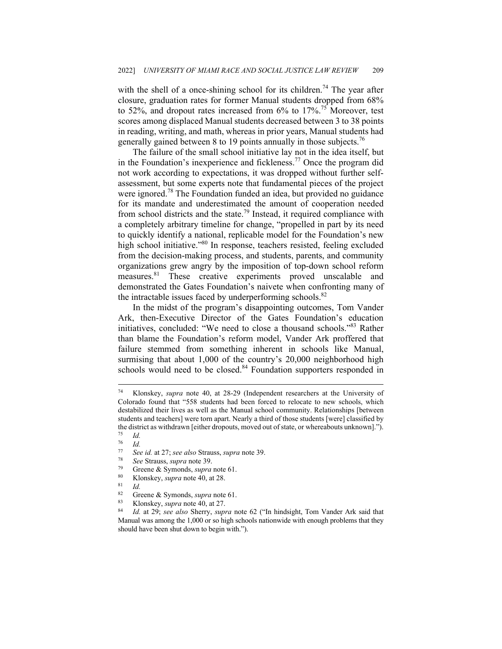with the shell of a once-shining school for its children.<sup>74</sup> The year after closure, graduation rates for former Manual students dropped from 68% to 52%, and dropout rates increased from  $6\%$  to  $17\%$ .<sup>75</sup> Moreover, test scores among displaced Manual students decreased between 3 to 38 points in reading, writing, and math, whereas in prior years, Manual students had generally gained between 8 to 19 points annually in those subjects.<sup>76</sup>

The failure of the small school initiative lay not in the idea itself, but in the Foundation's inexperience and fickleness.<sup>77</sup> Once the program did not work according to expectations, it was dropped without further selfassessment, but some experts note that fundamental pieces of the project were ignored.78 The Foundation funded an idea, but provided no guidance for its mandate and underestimated the amount of cooperation needed from school districts and the state.<sup>79</sup> Instead, it required compliance with a completely arbitrary timeline for change, "propelled in part by its need to quickly identify a national, replicable model for the Foundation's new high school initiative."<sup>80</sup> In response, teachers resisted, feeling excluded from the decision-making process, and students, parents, and community organizations grew angry by the imposition of top-down school reform measures.81 These creative experiments proved unscalable and demonstrated the Gates Foundation's naivete when confronting many of the intractable issues faced by underperforming schools. $82$ 

In the midst of the program's disappointing outcomes, Tom Vander Ark, then-Executive Director of the Gates Foundation's education initiatives, concluded: "We need to close a thousand schools."83 Rather than blame the Foundation's reform model, Vander Ark proffered that failure stemmed from something inherent in schools like Manual, surmising that about 1,000 of the country's 20,000 neighborhood high schools would need to be closed.<sup>84</sup> Foundation supporters responded in

<sup>74</sup> Klonskey, *supra* note 40, at 28-29 (Independent researchers at the University of Colorado found that "558 students had been forced to relocate to new schools, which destabilized their lives as well as the Manual school community. Relationships [between students and teachers] were torn apart. Nearly a third of those students [were] classified by the district as withdrawn [either dropouts, moved out of state, or whereabouts unknown].").<br>
<sup>75</sup> *Id.*<br>
<sup>76</sup> *Id* 

 $\frac{76}{77}$  *Id.* 77 See id. at 27; *see also* Strauss, *supra* note 39.<br>
78 See Strauss, *supra* note 39.<br>
79 Greene & Symonds, *supra* note 61.<br>
80 Klonskey, *supra* note 40, at 28.<br> *R*. *Greene & Symonds, supra* pote 61.

<sup>82</sup> Greene & Symonds, *supra* note 61.<br>
83 Klonskey, *supra* note 40, at 27.<br>
84 *Id.* at 29; *see also* Sherry, *supra* note 62 ("In hindsight, Tom Vander Ark said that Manual was among the 1,000 or so high schools nationwide with enough problems that they should have been shut down to begin with.").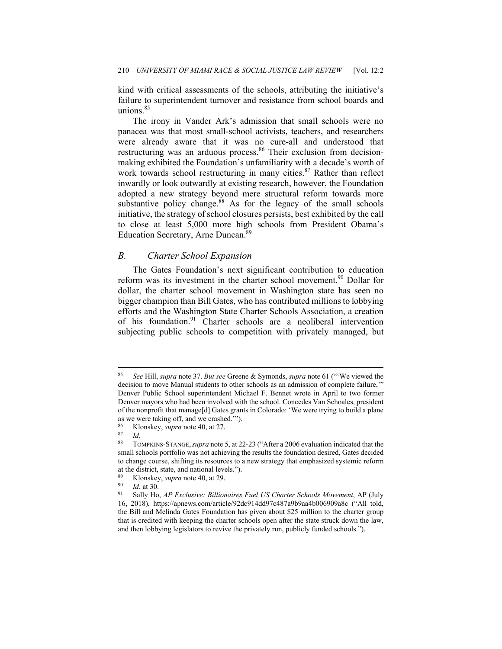kind with critical assessments of the schools, attributing the initiative's failure to superintendent turnover and resistance from school boards and unions.<sup>85</sup>

The irony in Vander Ark's admission that small schools were no panacea was that most small-school activists, teachers, and researchers were already aware that it was no cure-all and understood that restructuring was an arduous process.<sup>86</sup> Their exclusion from decisionmaking exhibited the Foundation's unfamiliarity with a decade's worth of work towards school restructuring in many cities. $87$  Rather than reflect inwardly or look outwardly at existing research, however, the Foundation adopted a new strategy beyond mere structural reform towards more substantive policy change. $88$  As for the legacy of the small schools initiative, the strategy of school closures persists, best exhibited by the call to close at least 5,000 more high schools from President Obama's Education Secretary, Arne Duncan.89

#### *B. Charter School Expansion*

The Gates Foundation's next significant contribution to education reform was its investment in the charter school movement.<sup>90</sup> Dollar for dollar, the charter school movement in Washington state has seen no bigger champion than Bill Gates, who has contributed millions to lobbying efforts and the Washington State Charter Schools Association, a creation of his foundation.<sup>91</sup> Charter schools are a neoliberal intervention subjecting public schools to competition with privately managed, but

<sup>85</sup> *See* Hill, *supra* note 37. *But see* Greene & Symonds, *supra* note 61 ("'We viewed the decision to move Manual students to other schools as an admission of complete failure,'" Denver Public School superintendent Michael F. Bennet wrote in April to two former Denver mayors who had been involved with the school. Concedes Van Schoales, president of the nonprofit that manage[d] Gates grants in Colorado: 'We were trying to build a plane as we were taking off, and we crashed.'").

<sup>86</sup> Klonskey, *supra* note 40, at 27.<br><sup>87</sup> Id.<br><sup>88</sup> TOMPKINS-STANGE *supra* note:

<sup>88</sup> TOMPKINS-STANGE,*supra* note 5, at 22-23 ("After a 2006 evaluation indicated that the small schools portfolio was not achieving the results the foundation desired, Gates decided to change course, shifting its resources to a new strategy that emphasized systemic reform at the district, state, and national levels.").

<sup>89</sup> Klonskey, *supra* note 40, at 29.<br><sup>90</sup> *Id.* at 30.<br><sup>91</sup> Sally Ho, *AP Exclusive: Billionaires Fuel US Charter Schools Movement*, AP (July 16, 2018), https://apnews.com/article/92dc914dd97c487a9b9aa4b006909a8c ("All told, the Bill and Melinda Gates Foundation has given about \$25 million to the charter group that is credited with keeping the charter schools open after the state struck down the law, and then lobbying legislators to revive the privately run, publicly funded schools.").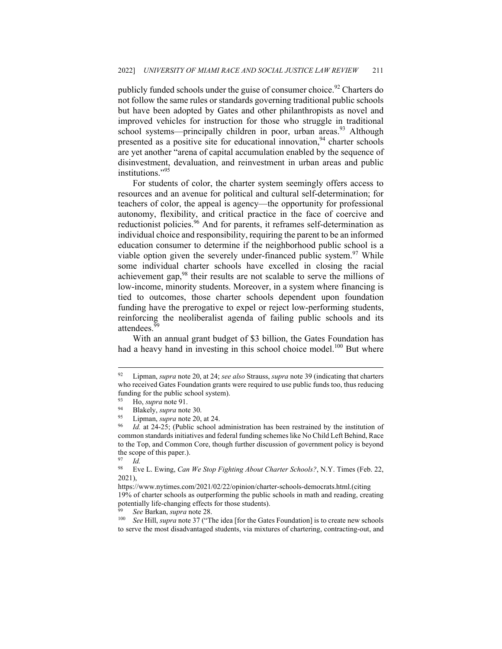publicly funded schools under the guise of consumer choice.<sup>92</sup> Charters do not follow the same rules or standards governing traditional public schools but have been adopted by Gates and other philanthropists as novel and improved vehicles for instruction for those who struggle in traditional school systems—principally children in poor, urban areas.<sup>93</sup> Although presented as a positive site for educational innovation,  $94$  charter schools are yet another "arena of capital accumulation enabled by the sequence of disinvestment, devaluation, and reinvestment in urban areas and public institutions."95

For students of color, the charter system seemingly offers access to resources and an avenue for political and cultural self-determination; for teachers of color, the appeal is agency—the opportunity for professional autonomy, flexibility, and critical practice in the face of coercive and reductionist policies.<sup>96</sup> And for parents, it reframes self-determination as individual choice and responsibility, requiring the parent to be an informed education consumer to determine if the neighborhood public school is a viable option given the severely under-financed public system.<sup>97</sup> While some individual charter schools have excelled in closing the racial achievement gap, $98$  their results are not scalable to serve the millions of low-income, minority students. Moreover, in a system where financing is tied to outcomes, those charter schools dependent upon foundation funding have the prerogative to expel or reject low-performing students, reinforcing the neoliberalist agenda of failing public schools and its attendees.<sup>9</sup>

With an annual grant budget of \$3 billion, the Gates Foundation has had a heavy hand in investing in this school choice model.<sup>100</sup> But where

<sup>92</sup> Lipman, *supra* note 20, at 24; *see also* Strauss, *supra* note 39 (indicating that charters who received Gates Foundation grants were required to use public funds too, thus reducing funding for the public school system).

<sup>93</sup> Ho, *supra* note 91.<br>
94 Blakely, *supra* note 30.<br>
95 Lipman, *supra* note 20, at 24.<br>
96 *Id.* at 24-25; (Public school administration has been restrained by the institution of common standards initiatives and federal funding schemes like No Child Left Behind, Race to the Top, and Common Core, though further discussion of government policy is beyond the scope of this paper.).

 $\frac{97}{98}$  *Id.* 

<sup>98</sup> Eve L. Ewing, *Can We Stop Fighting About Charter Schools?*, N.Y. Times (Feb. 22, 2021),

https://www.nytimes.com/2021/02/22/opinion/charter-schools-democrats.html.(citing 19% of charter schools as outperforming the public schools in math and reading, creating potentially life-changing effects for those students).

<sup>&</sup>lt;sup>99</sup> See Barkan, *supra* note 28.<br><sup>100</sup> See Hill, *supra* note 37 ("The idea [for the Gates Foundation] is to create new schools to serve the most disadvantaged students, via mixtures of chartering, contracting-out, and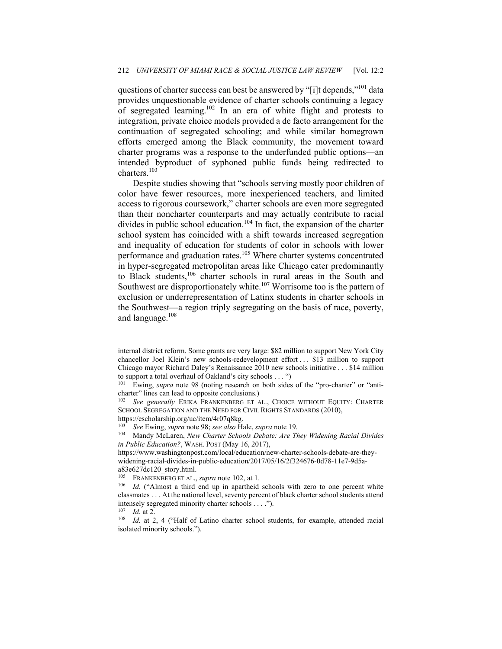questions of charter success can best be answered by "[i]t depends,"<sup>101</sup> data provides unquestionable evidence of charter schools continuing a legacy of segregated learning.<sup>102</sup> In an era of white flight and protests to integration, private choice models provided a de facto arrangement for the continuation of segregated schooling; and while similar homegrown efforts emerged among the Black community, the movement toward charter programs was a response to the underfunded public options—an intended byproduct of syphoned public funds being redirected to charters.<sup>103</sup>

Despite studies showing that "schools serving mostly poor children of color have fewer resources, more inexperienced teachers, and limited access to rigorous coursework," charter schools are even more segregated than their noncharter counterparts and may actually contribute to racial divides in public school education.<sup>104</sup> In fact, the expansion of the charter school system has coincided with a shift towards increased segregation and inequality of education for students of color in schools with lower performance and graduation rates.<sup>105</sup> Where charter systems concentrated in hyper-segregated metropolitan areas like Chicago cater predominantly to Black students,106 charter schools in rural areas in the South and Southwest are disproportionately white. $107$  Worrisome too is the pattern of exclusion or underrepresentation of Latinx students in charter schools in the Southwest—a region triply segregating on the basis of race, poverty, and language.<sup>108</sup>

internal district reform. Some grants are very large: \$82 million to support New York City chancellor Joel Klein's new schools-redevelopment effort . . . \$13 million to support Chicago mayor Richard Daley's Renaissance 2010 new schools initiative . . . \$14 million to support a total overhaul of Oakland's city schools . . . ")<br><sup>101</sup> Ewing, *supra* note 98 (noting research on both sides of the "pro-charter" or "anti-

charter" lines can lead to opposite conclusions.) 102 *See generally* ERIKA FRANKENBERG ET AL., CHOICE WITHOUT EQUITY: CHARTER

SCHOOL SEGREGATION AND THE NEED FOR CIVIL RIGHTS STANDARDS (2010), https://escholarship.org/uc/item/4r07q8kg.

<sup>103</sup> *See* Ewing, *supra* note 98; *see also* Hale, *supra* note 19. 104 Mandy McLaren, *New Charter Schools Debate: Are They Widening Racial Divides in Public Education?*, WASH. POST (May 16, 2017),

https://www.washingtonpost.com/local/education/new-charter-schools-debate-are-theywidening-racial-divides-in-public-education/2017/05/16/2f324676-0d78-11e7-9d5aa83e627dc120\_story.html.

<sup>&</sup>lt;sup>105</sup> FRANKENBERG ET AL., *supra* note 102, at 1.<br><sup>106</sup> *Id.* ("Almost a third end up in apartheid schools with zero to one percent white classmates . . . At the national level, seventy percent of black charter school students attend intensely segregated minority charter schools . . . .").

<sup>&</sup>lt;sup>107</sup> *Id.* at 2.<br><sup>108</sup> *Id.* at 2, 4 ("Half of Latino charter school students, for example, attended racial isolated minority schools.").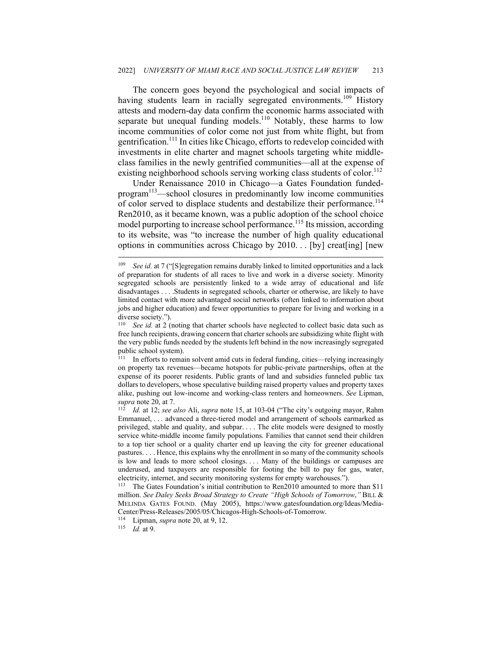The concern goes beyond the psychological and social impacts of having students learn in racially segregated environments.<sup>109</sup> History attests and modern-day data confirm the economic harms associated with separate but unequal funding models.<sup>110</sup> Notably, these harms to low income communities of color come not just from white flight, but from gentrification.111 In cities like Chicago, efforts to redevelop coincided with investments in elite charter and magnet schools targeting white middleclass families in the newly gentrified communities—all at the expense of existing neighborhood schools serving working class students of color.<sup>112</sup>

Under Renaissance 2010 in Chicago—a Gates Foundation fundedprogram<sup>113</sup>—school closures in predominantly low income communities of color served to displace students and destabilize their performance.<sup>114</sup> Ren2010, as it became known, was a public adoption of the school choice model purporting to increase school performance.<sup>115</sup> Its mission, according to its website, was "to increase the number of high quality educational options in communities across Chicago by 2010. . . [by] creat[ing] [new

<sup>109</sup> *See id.* at 7 ("[S]egregation remains durably linked to limited opportunities and a lack of preparation for students of all races to live and work in a diverse society. Minority segregated schools are persistently linked to a wide array of educational and life disadvantages . . . .Students in segregated schools, charter or otherwise, are likely to have limited contact with more advantaged social networks (often linked to information about jobs and higher education) and fewer opportunities to prepare for living and working in a diverse society.").

See id. at 2 (noting that charter schools have neglected to collect basic data such as free lunch recipients, drawing concern that charter schools are subsidizing white flight with the very public funds needed by the students left behind in the now increasingly segregated public school system).

<sup>111</sup> In efforts to remain solvent amid cuts in federal funding, cities—relying increasingly on property tax revenues—became hotspots for public-private partnerships, often at the expense of its poorer residents. Public grants of land and subsidies funneled public tax dollars to developers, whose speculative building raised property values and property taxes alike, pushing out low-income and working-class renters and homeowners. *See* Lipman, *supra* note 20, at 7. 112 *Id.* at 12; *see also* Ali, *supra* note 15, at 103-04 ("The city's outgoing mayor, Rahm

Emmanuel, . . . advanced a three-tiered model and arrangement of schools earmarked as privileged, stable and quality, and subpar. . . . The elite models were designed to mostly service white-middle income family populations. Families that cannot send their children to a top tier school or a quality charter end up leaving the city for greener educational pastures. . . . Hence, this explains why the enrollment in so many of the community schools is low and leads to more school closings. . . . Many of the buildings or campuses are underused, and taxpayers are responsible for footing the bill to pay for gas, water, electricity, internet, and security monitoring systems for empty warehouses.").<br><sup>113</sup> The Gates Foundation's initial contribution to Ren2010 amounted to more than \$11

million. *See Daley Seeks Broad Strategy to Create "High Schools of Tomorrow*,*"* BILL & MELINDA GATES FOUND. (May 2005), https://www.gatesfoundation.org/Ideas/Media-Center/Press-Releases/2005/05/Chicagos-High-Schools-of-Tomorrow. 114 Lipman, *supra* note 20, at 9, 12. 115 *Id.* at 9.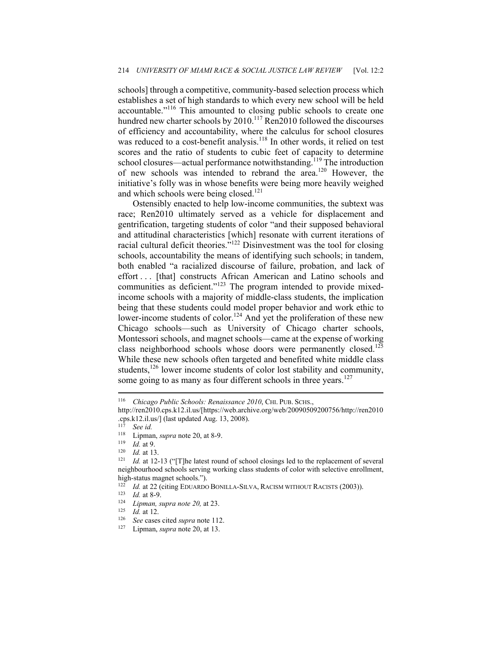schools] through a competitive, community-based selection process which establishes a set of high standards to which every new school will be held accountable."116 This amounted to closing public schools to create one hundred new charter schools by 2010.<sup>117</sup> Ren2010 followed the discourses of efficiency and accountability, where the calculus for school closures was reduced to a cost-benefit analysis.<sup>118</sup> In other words, it relied on test scores and the ratio of students to cubic feet of capacity to determine school closures—actual performance notwithstanding.<sup>119</sup> The introduction of new schools was intended to rebrand the area.120 However, the initiative's folly was in whose benefits were being more heavily weighed and which schools were being closed.<sup>121</sup>

Ostensibly enacted to help low-income communities, the subtext was race; Ren2010 ultimately served as a vehicle for displacement and gentrification, targeting students of color "and their supposed behavioral and attitudinal characteristics [which] resonate with current iterations of racial cultural deficit theories."122 Disinvestment was the tool for closing schools, accountability the means of identifying such schools; in tandem, both enabled "a racialized discourse of failure, probation, and lack of effort . . . [that] constructs African American and Latino schools and communities as deficient."<sup>123</sup> The program intended to provide mixedincome schools with a majority of middle-class students, the implication being that these students could model proper behavior and work ethic to lower-income students of color.<sup>124</sup> And yet the proliferation of these new Chicago schools—such as University of Chicago charter schools, Montessori schools, and magnet schools—came at the expense of working class neighborhood schools whose doors were permanently closed.<sup>125</sup> While these new schools often targeted and benefited white middle class students,<sup>126</sup> lower income students of color lost stability and community, some going to as many as four different schools in three years.<sup>127</sup>

<sup>116</sup> Chicago Public Schools: Renaissance 2010, CHI. PUB. SCHS.,

http://ren2010.cps.k12.il.us/[https://web.archive.org/web/20090509200756/http://ren2010 .cps.k12.il.us/] (last updated Aug. 13, 2008). 117 *See id.* 

<sup>&</sup>lt;sup>118</sup> Lipman, *supra* note 20, at 8-9.

<sup>119</sup> *Id.* at 9.<br><sup>120</sup> *Id.* at 13.<br><sup>121</sup> *Id.* at 12-13 ("[T]he latest round of school closings led to the replacement of several neighbourhood schools serving working class students of color with selective enrollment, high-status magnet schools.").

<sup>&</sup>lt;sup>122</sup> *Id.* at 22 (citing EDUARDO BONILLA-SILVA, RACISM WITHOUT RACISTS (2003)).<br>
<sup>123</sup> *Id.* at 8-9.<br> *Lipman, supra note 20, at 23.*<br>
<sup>125</sup> *Id.* at 12.<br>
<sup>126</sup> *See* cases cited *supra* note 112.<br>
<sup>127</sup> Lipman, *supra*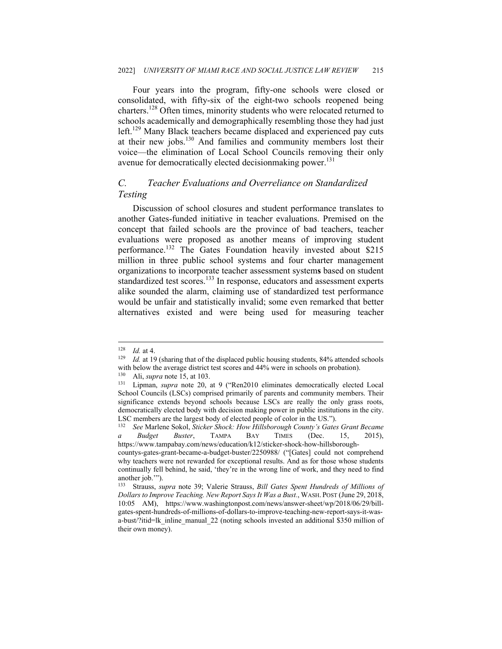Four years into the program, fifty-one schools were closed or consolidated, with fifty-six of the eight-two schools reopened being charters.128 Often times, minority students who were relocated returned to schools academically and demographically resembling those they had just left.<sup>129</sup> Many Black teachers became displaced and experienced pay cuts at their new jobs.130 And families and community members lost their voice—the elimination of Local School Councils removing their only avenue for democratically elected decisionmaking power.<sup>131</sup>

## *C. Teacher Evaluations and Overreliance on Standardized Testing*

Discussion of school closures and student performance translates to another Gates-funded initiative in teacher evaluations. Premised on the concept that failed schools are the province of bad teachers, teacher evaluations were proposed as another means of improving student performance.<sup>132</sup> The Gates Foundation heavily invested about \$215 million in three public school systems and four charter management organizations to incorporate teacher assessment system**s** based on student standardized test scores.<sup>133</sup> In response, educators and assessment experts alike sounded the alarm, claiming use of standardized test performance would be unfair and statistically invalid; some even remarked that better alternatives existed and were being used for measuring teacher

<sup>128</sup> *Id.* at 4. 129 *Id.* at 4. 129 Id. at 19 (sharing that of the displaced public housing students, 84% attended schools with below the average district test scores and 44% were in schools on probation).<br>
<sup>130</sup> Ali, *supra* note 15, at 103.<br>
<sup>131</sup> Lipman, *supra* note 20, at 9 ("Ren2010 eliminates democratically elected Local

School Councils (LSCs) comprised primarily of parents and community members. Their significance extends beyond schools because LSCs are really the only grass roots, democratically elected body with decision making power in public institutions in the city. LSC members are the largest body of elected people of color in the US.").

<sup>132</sup> *See* Marlene Sokol, *Sticker Shock: How Hillsborough County's Gates Grant Became a Budget Buster*, TAMPA BAY TIMES (Dec. 15, 2015), https://www.tampabay.com/news/education/k12/sticker-shock-how-hillsborough-

countys-gates-grant-became-a-budget-buster/2250988/ ("[Gates] could not comprehend why teachers were not rewarded for exceptional results. And as for those whose students continually fell behind, he said, 'they're in the wrong line of work, and they need to find another job.'").

<sup>133</sup> Strauss, *supra* note 39; Valerie Strauss, *Bill Gates Spent Hundreds of Millions of Dollars to Improve Teaching. New Report Says It Was a Bust.*, WASH. POST (June 29, 2018, 10:05 AM), https://www.washingtonpost.com/news/answer-sheet/wp/2018/06/29/billgates-spent-hundreds-of-millions-of-dollars-to-improve-teaching-new-report-says-it-wasa-bust/?itid=lk\_inline\_manual\_22 (noting schools invested an additional \$350 million of their own money).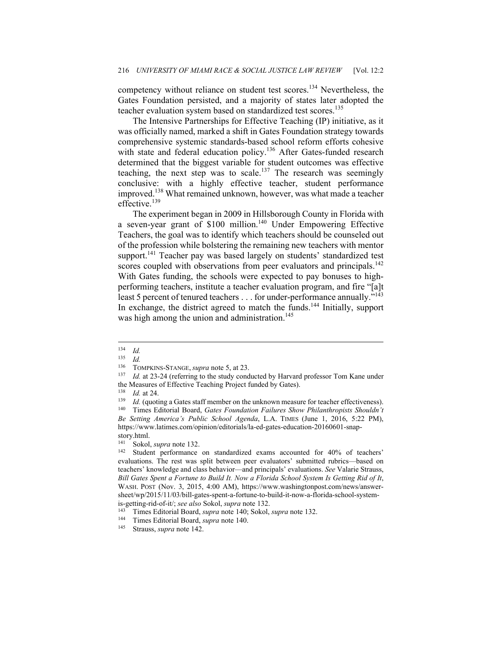competency without reliance on student test scores.<sup>134</sup> Nevertheless, the Gates Foundation persisted, and a majority of states later adopted the teacher evaluation system based on standardized test scores.<sup>135</sup>

The Intensive Partnerships for Effective Teaching (IP) initiative, as it was officially named, marked a shift in Gates Foundation strategy towards comprehensive systemic standards-based school reform efforts cohesive with state and federal education policy.<sup>136</sup> After Gates-funded research determined that the biggest variable for student outcomes was effective teaching, the next step was to scale.<sup>137</sup> The research was seemingly conclusive: with a highly effective teacher, student performance improved.<sup>138</sup> What remained unknown, however, was what made a teacher effective.<sup>139</sup>

The experiment began in 2009 in Hillsborough County in Florida with a seven-year grant of \$100 million.<sup>140</sup> Under Empowering Effective Teachers, the goal was to identify which teachers should be counseled out of the profession while bolstering the remaining new teachers with mentor support.<sup>141</sup> Teacher pay was based largely on students' standardized test scores coupled with observations from peer evaluators and principals.<sup>142</sup> With Gates funding, the schools were expected to pay bonuses to highperforming teachers, institute a teacher evaluation program, and fire "[a]t least 5 percent of tenured teachers . . . for under-performance annually."<sup>143</sup> In exchange, the district agreed to match the funds.<sup>144</sup> Initially, support was high among the union and administration.<sup>145</sup>

 $\frac{134}{135}$  *Id.* 

 $\frac{135}{136}$  *Id.* 

<sup>&</sup>lt;sup>136</sup> TOMPKINS-STANGE, *supra* note 5, at 23.<br><sup>137</sup> Id. at 23-24 (referring to the study conducted by Harvard professor Tom Kane under

the Measures of Effective Teaching Project funded by Gates).<br>
<sup>138</sup> Id. at 24.<br>
<sup>139</sup> Id. (quoting a Gates staff member on the unknown measure for teacher effectiveness).<br>
<sup>140</sup> Times Editorial Board, *Gates Foundation Fai Be Setting America's Public School Agenda*, L.A. TIMES (June 1, 2016, 5:22 PM), https://www.latimes.com/opinion/editorials/la-ed-gates-education-20160601-snap-

story.html.<br><sup>141</sup> Sokol

<sup>&</sup>lt;sup>141</sup> Sokol, *supra* note 132.<br><sup>142</sup> Student performance on standardized exams accounted for 40% of teachers' evaluations. The rest was split between peer evaluators' submitted rubrics—based on teachers' knowledge and class behavior—and principals' evaluations. *See* Valarie Strauss, *Bill Gates Spent a Fortune to Build It. Now a Florida School System Is Getting Rid of It*, WASH. POST (Nov. 3, 2015, 4:00 AM), https://www.washingtonpost.com/news/answersheet/wp/2015/11/03/bill-gates-spent-a-fortune-to-build-it-now-a-florida-school-system-

is-getting-rid-of-it/; *see also* Sokol, *supra* note 132. 143 Times Editorial Board, *supra* note 140; Sokol, *supra* note 132. 144 Times Editorial Board, *supra* note 140.

Strauss, *supra* note 142.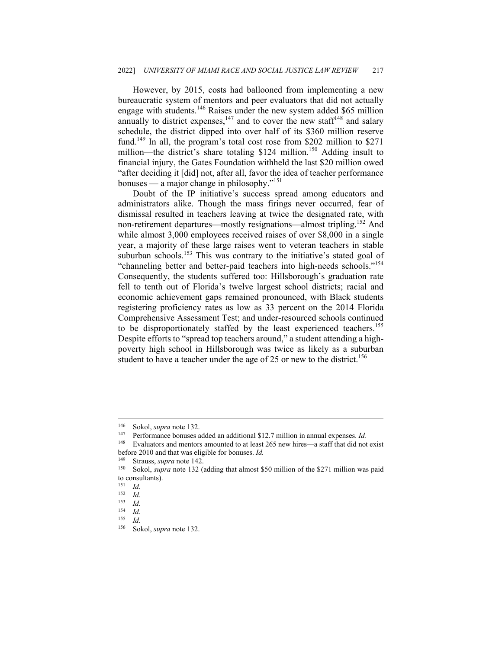However, by 2015, costs had ballooned from implementing a new bureaucratic system of mentors and peer evaluators that did not actually engage with students.146 Raises under the new system added \$65 million annually to district expenses,  $147$  and to cover the new staff<sup>148</sup> and salary schedule, the district dipped into over half of its \$360 million reserve fund.<sup>149</sup> In all, the program's total cost rose from \$202 million to \$271 million—the district's share totaling \$124 million.<sup>150</sup> Adding insult to financial injury, the Gates Foundation withheld the last \$20 million owed "after deciding it [did] not, after all, favor the idea of teacher performance bonuses — a major change in philosophy."151

Doubt of the IP initiative's success spread among educators and administrators alike. Though the mass firings never occurred, fear of dismissal resulted in teachers leaving at twice the designated rate, with non-retirement departures—mostly resignations—almost tripling.<sup>152</sup> And while almost 3,000 employees received raises of over \$8,000 in a single year, a majority of these large raises went to veteran teachers in stable suburban schools.<sup>153</sup> This was contrary to the initiative's stated goal of "channeling better and better-paid teachers into high-needs schools."154 Consequently, the students suffered too: Hillsborough's graduation rate fell to tenth out of Florida's twelve largest school districts; racial and economic achievement gaps remained pronounced, with Black students registering proficiency rates as low as 33 percent on the 2014 Florida Comprehensive Assessment Test; and under-resourced schools continued to be disproportionately staffed by the least experienced teachers.<sup>155</sup> Despite efforts to "spread top teachers around," a student attending a highpoverty high school in Hillsborough was twice as likely as a suburban student to have a teacher under the age of 25 or new to the district.<sup>156</sup>

<sup>146</sup> Sokol, *supra* note 132. 147 Performance bonuses added an additional \$12.7 million in annual expenses. *Id.*

<sup>148</sup> Evaluators and mentors amounted to at least 265 new hires—a staff that did not exist before 2010 and that was eligible for bonuses. *Id.*

<sup>&</sup>lt;sup>149</sup> Strauss, *supra* note 142.<br><sup>150</sup> Sokol, *supra* note 132 (adding that almost \$50 million of the \$271 million was paid to consultants).

 $\frac{151}{152}$  *Id.* 

 $\frac{152}{153}$  *Id.* 

<sup>153</sup> *Id.* 

<sup>154</sup> *Id.* 

 $\frac{155}{156}$  *Id.* 

<sup>156</sup> Sokol, *supra* note 132.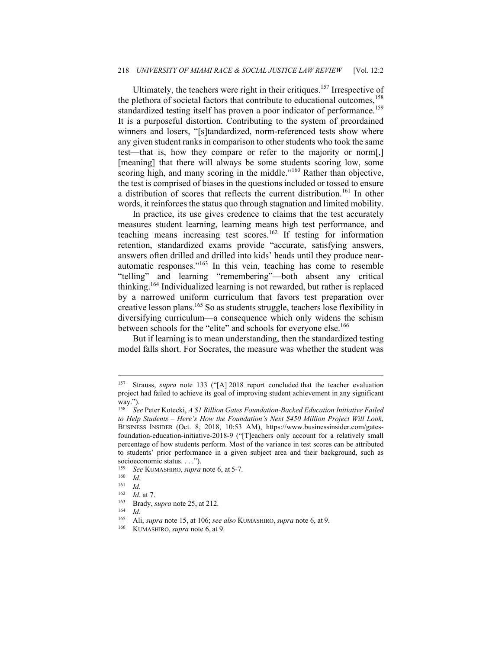#### 218 *UNIVERSITY OF MIAMI RACE & SOCIAL JUSTICE LAW REVIEW* [Vol. 12:2

Ultimately, the teachers were right in their critiques.<sup>157</sup> Irrespective of the plethora of societal factors that contribute to educational outcomes,<sup>158</sup> standardized testing itself has proven a poor indicator of performance.<sup>159</sup> It is a purposeful distortion. Contributing to the system of preordained winners and losers, "[s]tandardized, norm-referenced tests show where any given student ranks in comparison to other students who took the same test—that is, how they compare or refer to the majority or norm[,] [meaning] that there will always be some students scoring low, some scoring high, and many scoring in the middle."<sup>160</sup> Rather than objective, the test is comprised of biases in the questions included or tossed to ensure a distribution of scores that reflects the current distribution.<sup>161</sup> In other words, it reinforces the status quo through stagnation and limited mobility.

In practice, its use gives credence to claims that the test accurately measures student learning, learning means high test performance, and teaching means increasing test scores.<sup>162</sup> If testing for information retention, standardized exams provide "accurate, satisfying answers, answers often drilled and drilled into kids' heads until they produce nearautomatic responses."163 In this vein, teaching has come to resemble "telling" and learning "remembering"—both absent any critical thinking.<sup>164</sup> Individualized learning is not rewarded, but rather is replaced by a narrowed uniform curriculum that favors test preparation over creative lesson plans.165 So as students struggle, teachers lose flexibility in diversifying curriculum—a consequence which only widens the schism between schools for the "elite" and schools for everyone else.<sup>166</sup>

But if learning is to mean understanding, then the standardized testing model falls short. For Socrates, the measure was whether the student was

<sup>157</sup> Strauss, *supra* note 133 ("[A] 2018 report concluded that the teacher evaluation project had failed to achieve its goal of improving student achievement in any significant way.").

<sup>158</sup> *See* Peter Kotecki, *A \$1 Billion Gates Foundation-Backed Education Initiative Failed to Help Students – Here's How the Foundation's Next \$450 Million Project Will Look*, BUSINESS INSIDER (Oct. 8, 2018, 10:53 AM), https://www.businessinsider.com/gatesfoundation-education-initiative-2018-9 ("[T]eachers only account for a relatively small percentage of how students perform. Most of the variance in test scores can be attributed to students' prior performance in a given subject area and their background, such as socioeconomic status. . . .").

<sup>159</sup> *See* KUMASHIRO,*supra* note 6, at 5-7.

 $\frac{160}{161}$  *Id.* 

 $\frac{161}{162}$  *Id.* 

<sup>162</sup> *Id.* at 7.<br>
163 Brady, *supra* note 25, at 212.<br>
164 *Id.*<br>
165 Ali *supra* pote 15 at 106; see

<sup>165</sup> Ali, *supra* note 15, at 106; *see also* KUMASHIRO, *supra* note 6, at 9. 166 KUMASHIRO, *supra* note 6, at 9.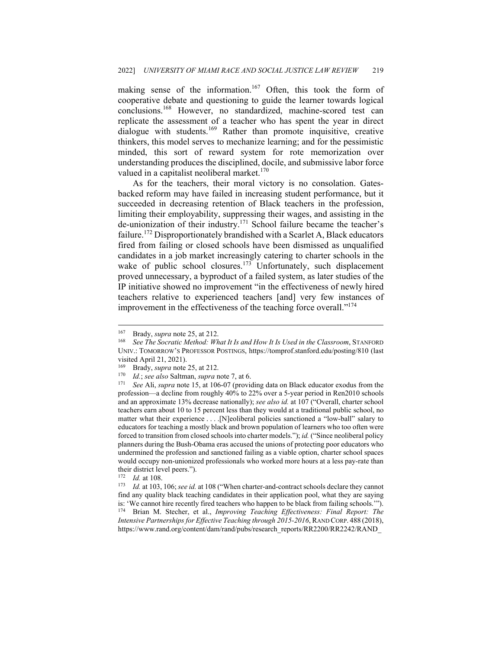making sense of the information.<sup>167</sup> Often, this took the form of cooperative debate and questioning to guide the learner towards logical conclusions.168 However, no standardized, machine-scored test can replicate the assessment of a teacher who has spent the year in direct dialogue with students.<sup>169</sup> Rather than promote inquisitive, creative thinkers, this model serves to mechanize learning; and for the pessimistic minded, this sort of reward system for rote memorization over understanding produces the disciplined, docile, and submissive labor force valued in a capitalist neoliberal market. $170$ 

As for the teachers, their moral victory is no consolation. Gatesbacked reform may have failed in increasing student performance, but it succeeded in decreasing retention of Black teachers in the profession, limiting their employability, suppressing their wages, and assisting in the de-unionization of their industry.<sup>171</sup> School failure became the teacher's failure.<sup>172</sup> Disproportionately brandished with a Scarlet A, Black educators fired from failing or closed schools have been dismissed as unqualified candidates in a job market increasingly catering to charter schools in the wake of public school closures.<sup>173</sup> Unfortunately, such displacement proved unnecessary, a byproduct of a failed system, as later studies of the IP initiative showed no improvement "in the effectiveness of newly hired teachers relative to experienced teachers [and] very few instances of improvement in the effectiveness of the teaching force overall."<sup>174</sup>

<sup>&</sup>lt;sup>167</sup> Brady, *supra* note 25, at 212.<br><sup>168</sup> See The Socratic Method: What It Is and How It Is Used in the Classroom, STANFORD UNIV.: TOMORROW'S PROFESSOR POSTINGS, https://tomprof.stanford.edu/posting/810 (last visited April 21, 2021).

<sup>169</sup> Brady, *supra* note 25, at 212. 170 *Id.*; *see also* Saltman, *supra* note 7, at 6. 171 *See* Ali, *supra* note 15, at 106-07 (providing data on Black educator exodus from the profession—a decline from roughly 40% to 22% over a 5-year period in Ren2010 schools and an approximate 13% decrease nationally); *see also id.* at 107 ("Overall, charter school teachers earn about 10 to 15 percent less than they would at a traditional public school, no matter what their experience . . . .[N]eoliberal policies sanctioned a "low-ball" salary to educators for teaching a mostly black and brown population of learners who too often were forced to transition from closed schools into charter models."); *id.* ("Since neoliberal policy planners during the Bush-Obama eras accused the unions of protecting poor educators who undermined the profession and sanctioned failing as a viable option, charter school spaces would occupy non-unionized professionals who worked more hours at a less pay-rate than their district level peers.").

<sup>172</sup> *Id.* at 108. 173 *Id.* at 103, 106; *see id.* at 108 ("When charter-and-contract schools declare they cannot find any quality black teaching candidates in their application pool, what they are saying is: 'We cannot hire recently fired teachers who happen to be black from failing schools.'"). 174 Brian M. Stecher, et al., *Improving Teaching Effectiveness: Final Report: The Intensive Partnerships for Effective Teaching through 2015-2016*, RAND CORP. 488 (2018), https://www.rand.org/content/dam/rand/pubs/research\_reports/RR2200/RR2242/RAND\_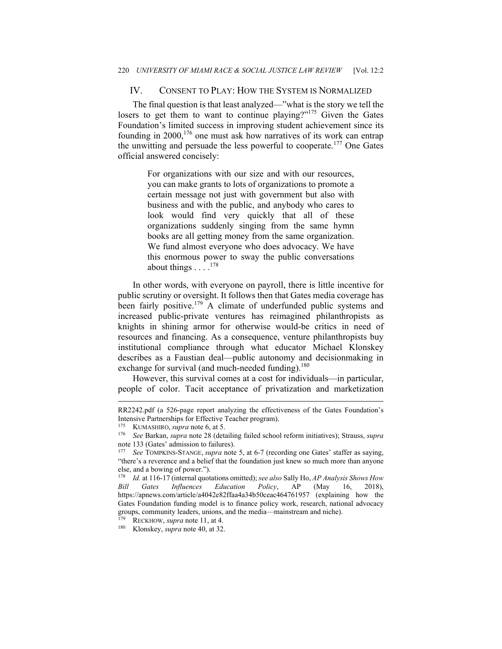### IV. CONSENT TO PLAY: HOW THE SYSTEM IS NORMALIZED

The final question is that least analyzed—"what is the story we tell the losers to get them to want to continue playing?"<sup>175</sup> Given the Gates Foundation's limited success in improving student achievement since its founding in  $2000$ ,  $176$  one must ask how narratives of its work can entrap the unwitting and persuade the less powerful to cooperate.177 One Gates official answered concisely:

> For organizations with our size and with our resources, you can make grants to lots of organizations to promote a certain message not just with government but also with business and with the public, and anybody who cares to look would find very quickly that all of these organizations suddenly singing from the same hymn books are all getting money from the same organization. We fund almost everyone who does advocacy. We have this enormous power to sway the public conversations about things  $\ldots$ <sup>178</sup>

In other words, with everyone on payroll, there is little incentive for public scrutiny or oversight. It follows then that Gates media coverage has been fairly positive.<sup>179</sup> A climate of underfunded public systems and increased public-private ventures has reimagined philanthropists as knights in shining armor for otherwise would-be critics in need of resources and financing. As a consequence, venture philanthropists buy institutional compliance through what educator Michael Klonskey describes as a Faustian deal—public autonomy and decisionmaking in exchange for survival (and much-needed funding).<sup>180</sup>

However, this survival comes at a cost for individuals—in particular, people of color. Tacit acceptance of privatization and marketization

RR2242.pdf (a 526-page report analyzing the effectiveness of the Gates Foundation's Intensive Partnerships for Effective Teacher program). 175 KUMASHIRO, *supra* note 6, at 5. 176 *See* Barkan, *supra* note 28 (detailing failed school reform initiatives); Strauss, *supra* 

note 133 (Gates' admission to failures).

<sup>177</sup> *See* TOMPKINS-STANGE, *supra* note 5, at 6-7 (recording one Gates' staffer as saying, "there's a reverence and a belief that the foundation just knew so much more than anyone else, and a bowing of power.").

<sup>178</sup> *Id.* at 116-17 (internal quotations omitted); *see also* Sally Ho, *AP Analysis Shows How Bill Gates Influences Education Policy*, AP (May 16, 2018), https://apnews.com/article/a4042e82ffaa4a34b50ceac464761957 (explaining how the Gates Foundation funding model is to finance policy work, research, national advocacy groups, community leaders, unions, and the media—mainstream and niche). 179 RECKHOW, *supra* note 11, at 4. 180 Klonskey, *supra* note 40, at 32.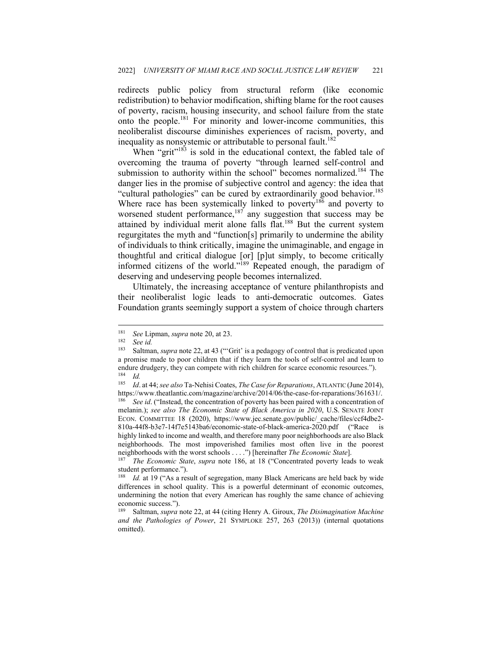redirects public policy from structural reform (like economic redistribution) to behavior modification, shifting blame for the root causes of poverty, racism, housing insecurity, and school failure from the state onto the people.181 For minority and lower-income communities, this neoliberalist discourse diminishes experiences of racism, poverty, and inequality as nonsystemic or attributable to personal fault.<sup>182</sup>

When "grit"<sup>183</sup> is sold in the educational context, the fabled tale of overcoming the trauma of poverty "through learned self-control and submission to authority within the school" becomes normalized.<sup>184</sup> The danger lies in the promise of subjective control and agency: the idea that "cultural pathologies" can be cured by extraordinarily good behavior.<sup>185</sup> Where race has been systemically linked to poverty<sup>186</sup> and poverty to worsened student performance,  $187$  any suggestion that success may be attained by individual merit alone falls flat.<sup>188</sup> But the current system regurgitates the myth and "function[s] primarily to undermine the ability of individuals to think critically, imagine the unimaginable, and engage in thoughtful and critical dialogue [or] [p]ut simply, to become critically informed citizens of the world."189 Repeated enough, the paradigm of deserving and undeserving people becomes internalized.

Ultimately, the increasing acceptance of venture philanthropists and their neoliberalist logic leads to anti-democratic outcomes. Gates Foundation grants seemingly support a system of choice through charters

<sup>181</sup> *See Lipman, supra* note 20, at 23.<br>
182 *See id.*<br>
183 Saltman, *supra* pote 22, at 43 ("C

<sup>183</sup> Saltman, *supra* note 22, at 43 ("'Grit' is a pedagogy of control that is predicated upon a promise made to poor children that if they learn the tools of self-control and learn to endure drudgery, they can compete with rich children for scarce economic resources.").  $\frac{184}{185}$  *Id.* 

<sup>185</sup> *Id*. at 44; *see also* Ta-Nehisi Coates, *The Case for Reparations*, ATLANTIC (June 2014), https://www.theatlantic.com/magazine/archive/2014/06/the-case-for-reparations/361631/. 186 *See id*. ("Instead, the concentration of poverty has been paired with a concentration of melanin.); *see also The Economic State of Black America in 2020*, U.S. SENATE JOINT ECON. COMMITTEE 18 (2020), https://www.jec.senate.gov/public/\_cache/files/ccf4dbe2- 810a-44f8-b3e7-14f7e5143ba6/economic-state-of-black-america-2020.pdf ("Race is highly linked to income and wealth, and therefore many poor neighborhoods are also Black neighborhoods. The most impoverished families most often live in the poorest neighborhoods with the worst schools . . . .") [hereinafter *The Economic State*]. 187 *The Economic State*, *supra* note 186, at 18 ("Concentrated poverty leads to weak

student performance.").

<sup>188</sup> *Id.* at 19 ("As a result of segregation, many Black Americans are held back by wide differences in school quality. This is a powerful determinant of economic outcomes, undermining the notion that every American has roughly the same chance of achieving economic success.").<br><sup>189</sup> Saltman, *sunra* 1

<sup>189</sup> Saltman, *supra* note 22, at 44 (citing Henry A. Giroux, *The Disimagination Machine and the Pathologies of Power*, 21 SYMPLOKE 257, 263 (2013)) (internal quotations omitted).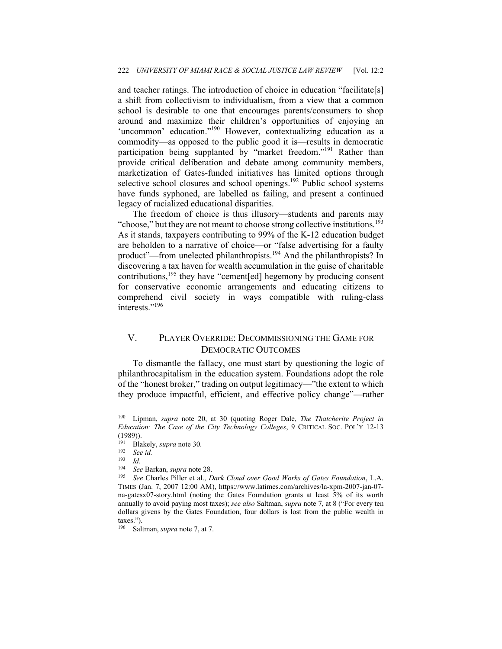and teacher ratings. The introduction of choice in education "facilitate[s] a shift from collectivism to individualism, from a view that a common school is desirable to one that encourages parents/consumers to shop around and maximize their children's opportunities of enjoying an 'uncommon' education."<sup>190</sup> However, contextualizing education as a commodity—as opposed to the public good it is—results in democratic participation being supplanted by "market freedom."<sup>191</sup> Rather than provide critical deliberation and debate among community members, marketization of Gates-funded initiatives has limited options through selective school closures and school openings.<sup>192</sup> Public school systems have funds syphoned, are labelled as failing, and present a continued legacy of racialized educational disparities.

The freedom of choice is thus illusory—students and parents may "choose," but they are not meant to choose strong collective institutions.<sup>193</sup> As it stands, taxpayers contributing to 99% of the K-12 education budget are beholden to a narrative of choice—or "false advertising for a faulty product"—from unelected philanthropists.<sup>194</sup> And the philanthropists? In discovering a tax haven for wealth accumulation in the guise of charitable contributions,<sup>195</sup> they have "cement[ed] hegemony by producing consent for conservative economic arrangements and educating citizens to comprehend civil society in ways compatible with ruling-class interests."<sup>196</sup>

## V. PLAYER OVERRIDE: DECOMMISSIONING THE GAME FOR DEMOCRATIC OUTCOMES

To dismantle the fallacy, one must start by questioning the logic of philanthrocapitalism in the education system. Foundations adopt the role of the "honest broker," trading on output legitimacy—"the extent to which they produce impactful, efficient, and effective policy change"—rather

<sup>190</sup> Lipman, *supra* note 20, at 30 (quoting Roger Dale, *The Thatcherite Project in Education: The Case of the City Technology Colleges*, 9 CRITICAL SOC. POL'Y 12-13 (1989)).

<sup>191</sup> Blakely, *supra* note 30. 192 *See id.* 

 $\frac{193}{194}$  *Id.* 

<sup>194</sup> *See* Barkan, *supra* note 28.

<sup>195</sup> *See* Charles Piller et al., *Dark Cloud over Good Works of Gates Foundation*, L.A. TIMES (Jan. 7, 2007 12:00 AM), https://www.latimes.com/archives/la-xpm-2007-jan-07 na-gatesx07-story.html (noting the Gates Foundation grants at least 5% of its worth annually to avoid paying most taxes); *see also* Saltman, *supra* note 7, at 8 ("For every ten dollars givens by the Gates Foundation, four dollars is lost from the public wealth in taxes.").

<sup>196</sup> Saltman, *supra* note 7, at 7.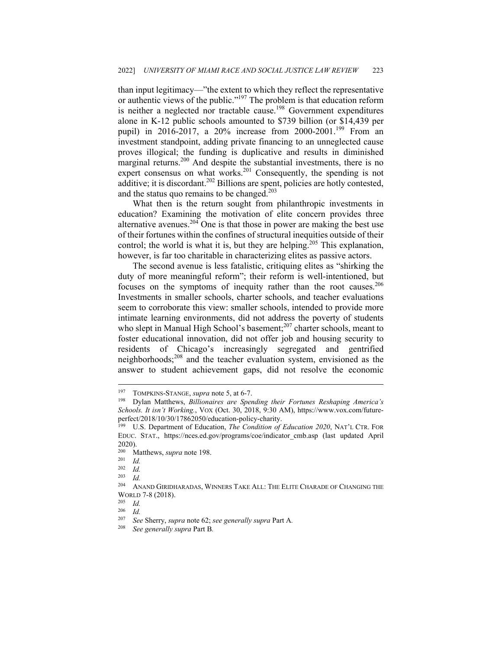than input legitimacy—"the extent to which they reflect the representative or authentic views of the public."<sup>197</sup> The problem is that education reform is neither a neglected nor tractable cause.<sup>198</sup> Government expenditures alone in K-12 public schools amounted to \$739 billion (or \$14,439 per pupil) in 2016-2017, a 20% increase from 2000-2001.<sup>199</sup> From an investment standpoint, adding private financing to an unneglected cause proves illogical; the funding is duplicative and results in diminished marginal returns.<sup>200</sup> And despite the substantial investments, there is no expert consensus on what works.<sup>201</sup> Consequently, the spending is not additive; it is discordant.<sup>202</sup> Billions are spent, policies are hotly contested, and the status quo remains to be changed. $203$ 

What then is the return sought from philanthropic investments in education? Examining the motivation of elite concern provides three alternative avenues.  $204$  One is that those in power are making the best use of their fortunes within the confines of structural inequities outside of their control; the world is what it is, but they are helping.<sup>205</sup> This explanation, however, is far too charitable in characterizing elites as passive actors.

The second avenue is less fatalistic, critiquing elites as "shirking the duty of more meaningful reform"; their reform is well-intentioned, but focuses on the symptoms of inequity rather than the root causes.<sup>206</sup> Investments in smaller schools, charter schools, and teacher evaluations seem to corroborate this view: smaller schools, intended to provide more intimate learning environments, did not address the poverty of students who slept in Manual High School's basement; $^{207}$  charter schools, meant to foster educational innovation, did not offer job and housing security to residents of Chicago's increasingly segregated and gentrified neighborhoods;208 and the teacher evaluation system, envisioned as the answer to student achievement gaps, did not resolve the economic

 $\frac{203}{204}$  *Id.* 

<sup>&</sup>lt;sup>197</sup> TOMPKINS-STANGE, *supra* note 5, at 6-7.<br><sup>198</sup> Dylan Matthews, *Billionaires are Spending their Fortunes Reshaping America's Schools. It isn't Working.*, VOX (Oct. 30, 2018, 9:30 AM), https://www.vox.com/futureperfect/2018/10/30/17862050/education-policy-charity.

<sup>&</sup>lt;sup>199</sup> U.S. Department of Education, *The Condition of Education 2020*, NAT'L CTR. FOR EDUC. STAT., https://nces.ed.gov/programs/coe/indicator\_cmb.asp (last updated April 2020).

<sup>200</sup> Matthews, *supra* note 198. 201 *Id.* 

 $\frac{202}{203}$  *Id.* 

ANAND GIRIDHARADAS, WINNERS TAKE ALL: THE ELITE CHARADE OF CHANGING THE WORLD 7-8 (2018).<br><sup>205</sup> *Id.*<br><sup>206</sup> *Id* 

 $\frac{206}{207}$  *Id.* 

<sup>207</sup> *See* Sherry, *supra* note 62; *see generally supra* Part A*.*

<sup>208</sup> *See generally supra* Part B*.*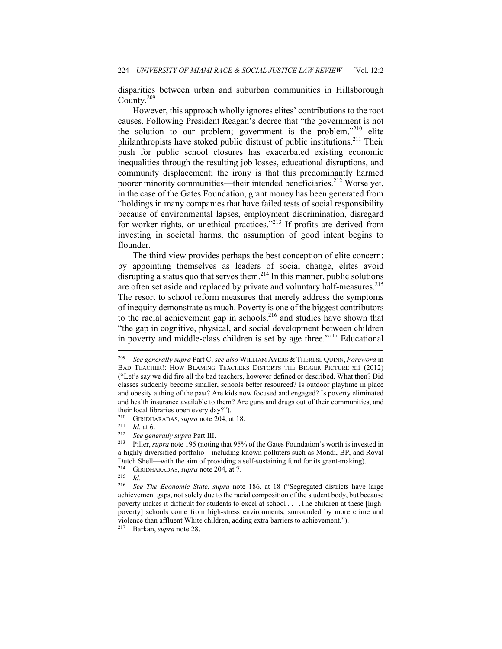disparities between urban and suburban communities in Hillsborough County.209

However, this approach wholly ignores elites' contributions to the root causes. Following President Reagan's decree that "the government is not the solution to our problem; government is the problem,"210 elite philanthropists have stoked public distrust of public institutions.<sup>211</sup> Their push for public school closures has exacerbated existing economic inequalities through the resulting job losses, educational disruptions, and community displacement; the irony is that this predominantly harmed poorer minority communities—their intended beneficiaries.<sup>212</sup> Worse vet, in the case of the Gates Foundation, grant money has been generated from "holdings in many companies that have failed tests of social responsibility because of environmental lapses, employment discrimination, disregard for worker rights, or unethical practices."<sup>213</sup> If profits are derived from investing in societal harms, the assumption of good intent begins to flounder.

The third view provides perhaps the best conception of elite concern: by appointing themselves as leaders of social change, elites avoid disrupting a status quo that serves them.<sup>214</sup> In this manner, public solutions are often set aside and replaced by private and voluntary half-measures.<sup>215</sup> The resort to school reform measures that merely address the symptoms of inequity demonstrate as much. Poverty is one of the biggest contributors to the racial achievement gap in schools, $216$  and studies have shown that "the gap in cognitive, physical, and social development between children in poverty and middle-class children is set by age three."<sup> $217$ </sup> Educational

<sup>209</sup> *See generally supra* Part C; *see also* WILLIAM AYERS & THERESE QUINN, *Foreword* in BAD TEACHER!: HOW BLAMING TEACHERS DISTORTS THE BIGGER PICTURE xii (2012) ("Let's say we did fire all the bad teachers, however defined or described. What then? Did classes suddenly become smaller, schools better resourced? Is outdoor playtime in place and obesity a thing of the past? Are kids now focused and engaged? Is poverty eliminated and health insurance available to them? Are guns and drugs out of their communities, and their local libraries open every day?").<br><sup>210</sup> GERINIARADAS, sunta pote 204.

<sup>210</sup> GIRIDHARADAS,*supra* note 204, at 18. 211 *Id.* at 6. 212 *See generally supra* Part III.

Piller, *supra* note 195 (noting that 95% of the Gates Foundation's worth is invested in a highly diversified portfolio—including known polluters such as Mondi, BP, and Royal Dutch Shell—with the aim of providing a self-sustaining fund for its grant-making).<br>
<sup>214</sup> GIRIDHARADAS, *supra* note 204, at 7.<br>
<sup>215</sup> *Id.*<br>
<sup>216</sup> *See The Economic State supra* note 186, at 18 ("Secrecated districts hav

<sup>216</sup> *See The Economic State*, *supra* note 186, at 18 ("Segregated districts have large achievement gaps, not solely due to the racial composition of the student body, but because poverty makes it difficult for students to excel at school . . . .The children at these [highpoverty] schools come from high-stress environments, surrounded by more crime and violence than affluent White children, adding extra barriers to achievement."). 217 Barkan, *supra* note 28.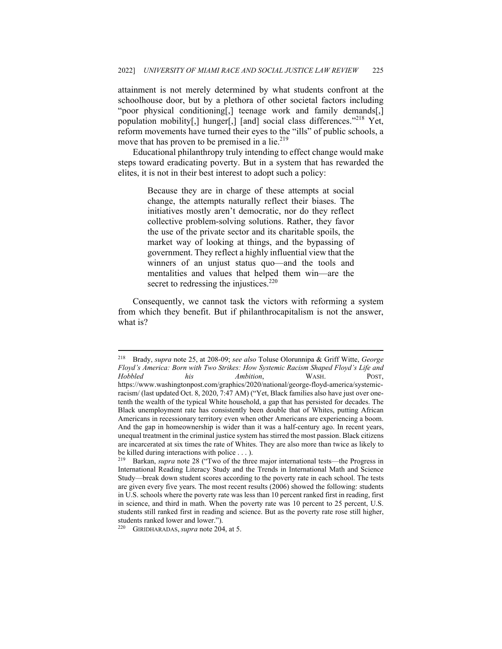attainment is not merely determined by what students confront at the schoolhouse door, but by a plethora of other societal factors including "poor physical conditioning[,] teenage work and family demands[,] population mobility[,] hunger[,] [and] social class differences."<sup>218</sup> Yet, reform movements have turned their eyes to the "ills" of public schools, a move that has proven to be premised in a lie. $2^{19}$ 

Educational philanthropy truly intending to effect change would make steps toward eradicating poverty. But in a system that has rewarded the elites, it is not in their best interest to adopt such a policy:

> Because they are in charge of these attempts at social change, the attempts naturally reflect their biases. The initiatives mostly aren't democratic, nor do they reflect collective problem-solving solutions. Rather, they favor the use of the private sector and its charitable spoils, the market way of looking at things, and the bypassing of government. They reflect a highly influential view that the winners of an unjust status quo—and the tools and mentalities and values that helped them win—are the secret to redressing the injustices.<sup>220</sup>

Consequently, we cannot task the victors with reforming a system from which they benefit. But if philanthrocapitalism is not the answer, what is?

<sup>218</sup> Brady, *supra* note 25, at 208-09; *see also* Toluse Olorunnipa & Griff Witte, *George Floyd's America: Born with Two Strikes: How Systemic Racism Shaped Floyd's Life and Hobbled his Ambition*, WASH. POST, https://www.washingtonpost.com/graphics/2020/national/george-floyd-america/systemicracism/ (last updated Oct. 8, 2020, 7:47 AM) ("Yet, Black families also have just over onetenth the wealth of the typical White household, a gap that has persisted for decades. The Black unemployment rate has consistently been double that of Whites, putting African Americans in recessionary territory even when other Americans are experiencing a boom. And the gap in homeownership is wider than it was a half-century ago. In recent years, unequal treatment in the criminal justice system has stirred the most passion. Black citizens are incarcerated at six times the rate of Whites. They are also more than twice as likely to be killed during interactions with police . . . ).

<sup>219</sup> Barkan, *supra* note 28 ("Two of the three major international tests—the Progress in International Reading Literacy Study and the Trends in International Math and Science Study—break down student scores according to the poverty rate in each school. The tests are given every five years. The most recent results (2006) showed the following: students in U.S. schools where the poverty rate was less than 10 percent ranked first in reading, first in science, and third in math. When the poverty rate was 10 percent to 25 percent, U.S. students still ranked first in reading and science. But as the poverty rate rose still higher, students ranked lower and lower.").

<sup>220</sup> GIRIDHARADAS,*supra* note 204, at 5.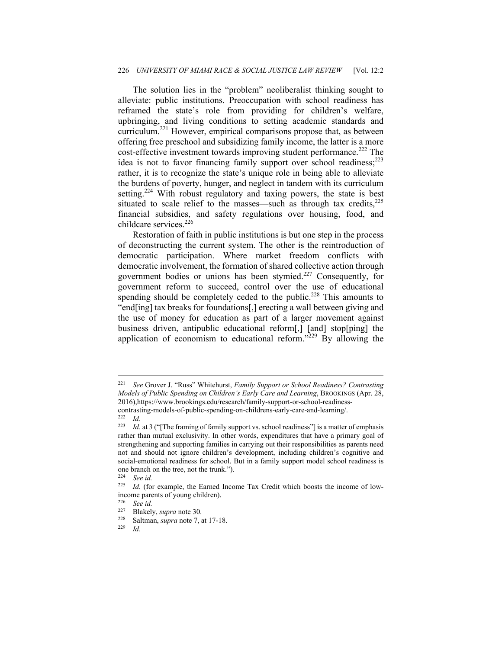#### 226 *UNIVERSITY OF MIAMI RACE & SOCIAL JUSTICE LAW REVIEW* [Vol. 12:2

The solution lies in the "problem" neoliberalist thinking sought to alleviate: public institutions. Preoccupation with school readiness has reframed the state's role from providing for children's welfare, upbringing, and living conditions to setting academic standards and curriculum.221 However, empirical comparisons propose that, as between offering free preschool and subsidizing family income, the latter is a more cost-effective investment towards improving student performance.<sup>222</sup> The idea is not to favor financing family support over school readiness;<sup>223</sup> rather, it is to recognize the state's unique role in being able to alleviate the burdens of poverty, hunger, and neglect in tandem with its curriculum setting.<sup>224</sup> With robust regulatory and taxing powers, the state is best situated to scale relief to the masses—such as through tax credits, $225$ financial subsidies, and safety regulations over housing, food, and childcare services.<sup>226</sup>

Restoration of faith in public institutions is but one step in the process of deconstructing the current system. The other is the reintroduction of democratic participation. Where market freedom conflicts with democratic involvement, the formation of shared collective action through government bodies or unions has been stymied.227 Consequently, for government reform to succeed, control over the use of educational spending should be completely ceded to the public.<sup>228</sup> This amounts to "end[ing] tax breaks for foundations[,] erecting a wall between giving and the use of money for education as part of a larger movement against business driven, antipublic educational reform[,] [and] stop[ping] the application of economism to educational reform." $229$  By allowing the

<sup>221</sup> *See* Grover J. "Russ" Whitehurst, *Family Support or School Readiness? Contrasting Models of Public Spending on Children's Early Care and Learning*, BROOKINGS (Apr. 28, 2016),https://www.brookings.edu/research/family-support-or-school-readinesscontrasting-models-of-public-spending-on-childrens-early-care-and-learning/. 222 *Id.* 

<sup>&</sup>lt;sup>223</sup> *Id.* at 3 ("[The framing of family support vs. school readiness"] is a matter of emphasis rather than mutual exclusivity. In other words, expenditures that have a primary goal of strengthening and supporting families in carrying out their responsibilities as parents need not and should not ignore children's development, including children's cognitive and social-emotional readiness for school. But in a family support model school readiness is one branch on the tree, not the trunk.").<br> $224 \text{ So } id$ 

<sup>224</sup> *See id.* 

Id. (for example, the Earned Income Tax Credit which boosts the income of lowincome parents of young children).<br> $^{226}$  See id

<sup>226</sup> *See id.* 

<sup>227</sup> Blakely, *supra* note 30. 228 Saltman, *supra* note 7, at 17-18. 229 *Id.*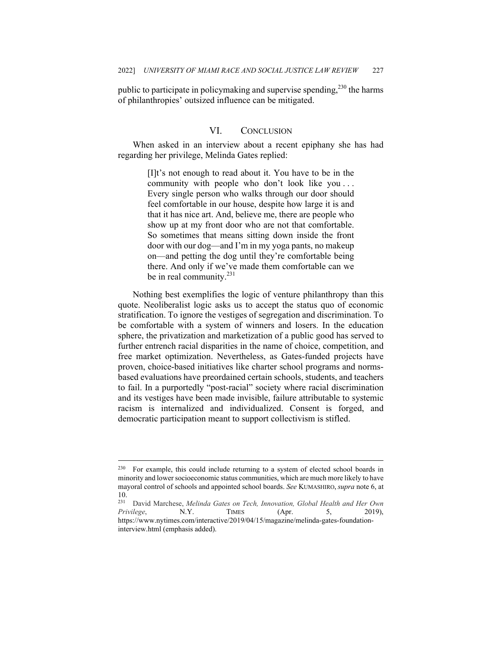public to participate in policymaking and supervise spending,  $230$  the harms of philanthropies' outsized influence can be mitigated.

## VI. CONCLUSION

When asked in an interview about a recent epiphany she has had regarding her privilege, Melinda Gates replied:

> [I]t's not enough to read about it. You have to be in the community with people who don't look like you . . . Every single person who walks through our door should feel comfortable in our house, despite how large it is and that it has nice art. And, believe me, there are people who show up at my front door who are not that comfortable. So sometimes that means sitting down inside the front door with our dog—and I'm in my yoga pants, no makeup on—and petting the dog until they're comfortable being there. And only if we've made them comfortable can we be in real community.<sup>231</sup>

Nothing best exemplifies the logic of venture philanthropy than this quote. Neoliberalist logic asks us to accept the status quo of economic stratification. To ignore the vestiges of segregation and discrimination. To be comfortable with a system of winners and losers. In the education sphere, the privatization and marketization of a public good has served to further entrench racial disparities in the name of choice, competition, and free market optimization. Nevertheless, as Gates-funded projects have proven, choice-based initiatives like charter school programs and normsbased evaluations have preordained certain schools, students, and teachers to fail. In a purportedly "post-racial" society where racial discrimination and its vestiges have been made invisible, failure attributable to systemic racism is internalized and individualized. Consent is forged, and democratic participation meant to support collectivism is stifled.

<sup>&</sup>lt;sup>230</sup> For example, this could include returning to a system of elected school boards in minority and lower socioeconomic status communities, which are much more likely to have mayoral control of schools and appointed school boards. *See* KUMASHIRO, *supra* note 6, at 10.

<sup>231</sup> David Marchese, *Melinda Gates on Tech, Innovation, Global Health and Her Own Privilege*, N.Y. TIMES (Apr. 5, 2019), https://www.nytimes.com/interactive/2019/04/15/magazine/melinda-gates-foundationinterview.html (emphasis added).